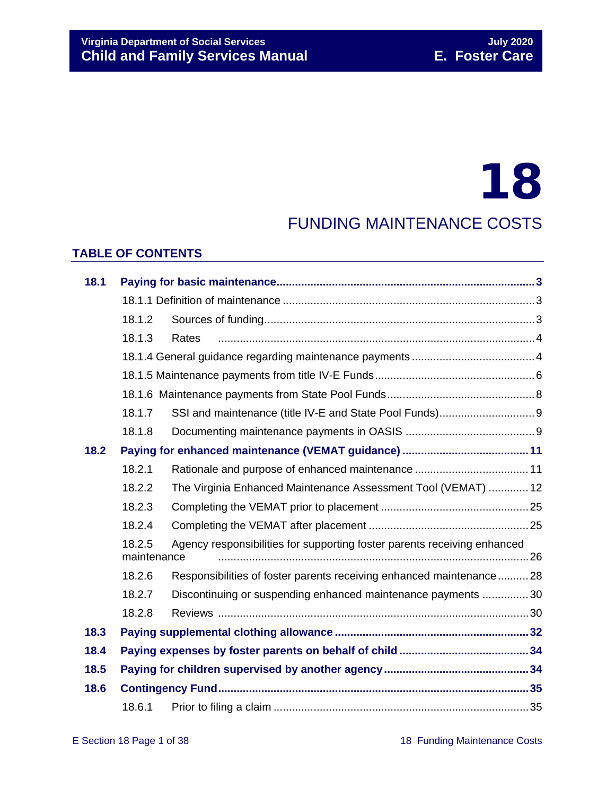# 18

### FUNDING MAINTENANCE COSTS

#### **TABLE OF CONTENTS**

| 18.1 |                                                                                                   |                                                                     |  |  |  |  |  |  |
|------|---------------------------------------------------------------------------------------------------|---------------------------------------------------------------------|--|--|--|--|--|--|
|      |                                                                                                   |                                                                     |  |  |  |  |  |  |
|      | 18.1.2                                                                                            |                                                                     |  |  |  |  |  |  |
|      | 18.1.3                                                                                            | Rates                                                               |  |  |  |  |  |  |
|      |                                                                                                   |                                                                     |  |  |  |  |  |  |
|      |                                                                                                   |                                                                     |  |  |  |  |  |  |
|      |                                                                                                   |                                                                     |  |  |  |  |  |  |
|      | 18.1.7                                                                                            |                                                                     |  |  |  |  |  |  |
|      | 18.1.8                                                                                            |                                                                     |  |  |  |  |  |  |
| 18.2 |                                                                                                   |                                                                     |  |  |  |  |  |  |
|      | 18.2.1                                                                                            |                                                                     |  |  |  |  |  |  |
|      | 18.2.2                                                                                            | The Virginia Enhanced Maintenance Assessment Tool (VEMAT)  12       |  |  |  |  |  |  |
|      | 18.2.3                                                                                            |                                                                     |  |  |  |  |  |  |
|      | 18.2.4                                                                                            |                                                                     |  |  |  |  |  |  |
|      | 18.2.5<br>Agency responsibilities for supporting foster parents receiving enhanced<br>maintenance |                                                                     |  |  |  |  |  |  |
|      | 18.2.6                                                                                            |                                                                     |  |  |  |  |  |  |
|      |                                                                                                   | Responsibilities of foster parents receiving enhanced maintenance28 |  |  |  |  |  |  |
|      | 18.2.7                                                                                            | Discontinuing or suspending enhanced maintenance payments 30        |  |  |  |  |  |  |
|      | 18.2.8                                                                                            |                                                                     |  |  |  |  |  |  |
| 18.3 |                                                                                                   |                                                                     |  |  |  |  |  |  |
| 18.4 |                                                                                                   |                                                                     |  |  |  |  |  |  |
| 18.5 |                                                                                                   |                                                                     |  |  |  |  |  |  |
| 18.6 |                                                                                                   |                                                                     |  |  |  |  |  |  |
|      | 18.6.1                                                                                            |                                                                     |  |  |  |  |  |  |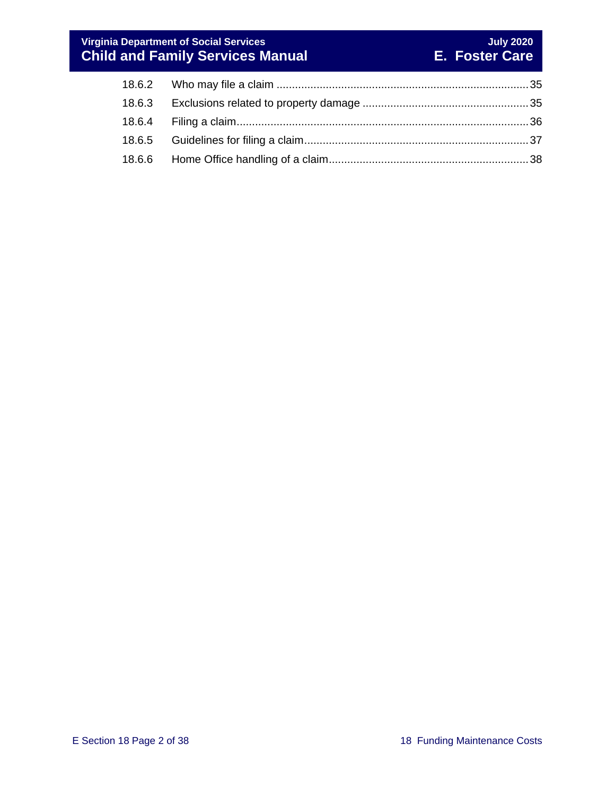#### **Virginia Department of Social Services July 2020 Child and Family Services Manual E. Foster Care**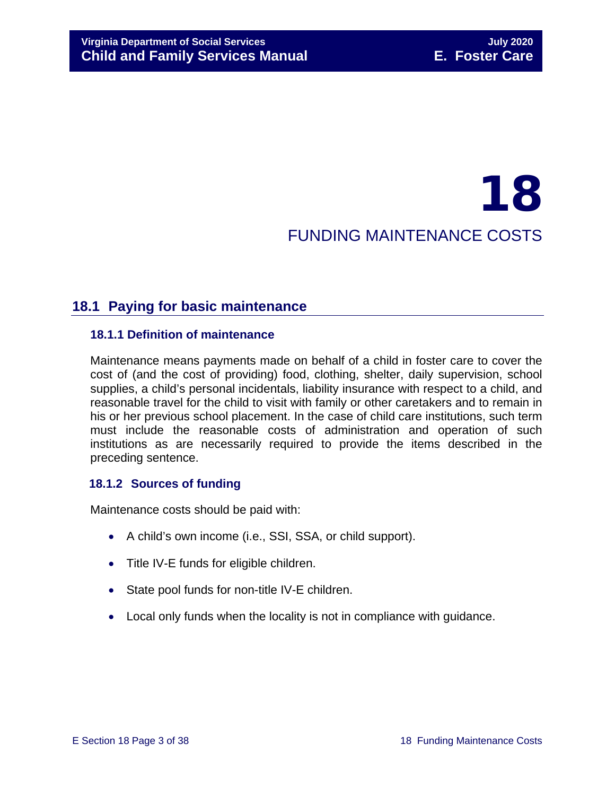## 18 FUNDING MAINTENANCE COSTS

#### <span id="page-2-0"></span>**18.1 Paying for basic maintenance**

#### <span id="page-2-1"></span>**18.1.1 Definition of maintenance**

Maintenance means payments made on behalf of a child in foster care to cover the cost of (and the cost of providing) food, clothing, shelter, daily supervision, school supplies, a child's personal incidentals, liability insurance with respect to a child, and reasonable travel for the child to visit with family or other caretakers and to remain in his or her previous school placement. In the case of child care institutions, such term must include the reasonable costs of administration and operation of such institutions as are necessarily required to provide the items described in the preceding sentence.

#### <span id="page-2-2"></span>**18.1.2 Sources of funding**

Maintenance costs should be paid with:

- A child's own income (i.e., SSI, SSA, or child support).
- Title IV-E funds for eligible children.
- State pool funds for non-title IV-E children.
- Local only funds when the locality is not in compliance with guidance.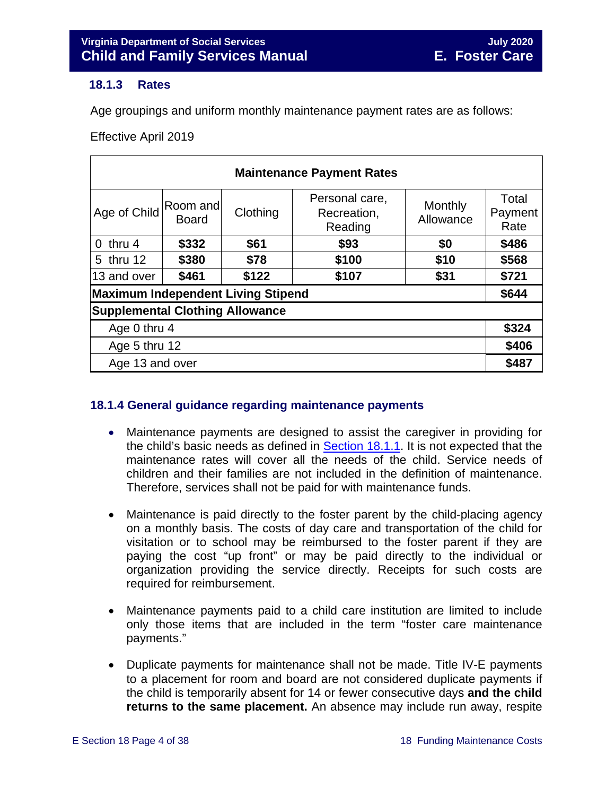#### <span id="page-3-2"></span><span id="page-3-0"></span>**18.1.3 Rates**

Age groupings and uniform monthly maintenance payment rates are as follows:

Effective April 2019

| <b>Maintenance Payment Rates</b>          |                          |          |                                          |                      |                          |  |  |  |  |
|-------------------------------------------|--------------------------|----------|------------------------------------------|----------------------|--------------------------|--|--|--|--|
| Age of Child                              | Room and<br><b>Board</b> | Clothing | Personal care,<br>Recreation,<br>Reading | Monthly<br>Allowance | Total<br>Payment<br>Rate |  |  |  |  |
| $0$ thru 4                                | \$332                    | \$61     | \$93                                     | \$0                  | \$486                    |  |  |  |  |
| 5 thru 12                                 | \$380                    | \$78     | \$100                                    | \$10                 | \$568                    |  |  |  |  |
| 13 and over                               | \$461                    | \$122    | \$107                                    | \$31                 | \$721                    |  |  |  |  |
| <b>Maximum Independent Living Stipend</b> |                          |          |                                          |                      |                          |  |  |  |  |
| <b>Supplemental Clothing Allowance</b>    |                          |          |                                          |                      |                          |  |  |  |  |
| Age 0 thru 4                              |                          |          |                                          |                      |                          |  |  |  |  |
| Age 5 thru 12                             |                          |          |                                          |                      |                          |  |  |  |  |
| Age 13 and over                           |                          |          |                                          |                      |                          |  |  |  |  |

#### <span id="page-3-1"></span>**18.1.4 General guidance regarding maintenance payments**

- Maintenance payments are designed to assist the caregiver in providing for the child's basic needs as defined in [Section](#page-2-1) 18.1.1. It is not expected that the maintenance rates will cover all the needs of the child. Service needs of children and their families are not included in the definition of maintenance. Therefore, services shall not be paid for with maintenance funds.
- Maintenance is paid directly to the foster parent by the child-placing agency on a monthly basis. The costs of day care and transportation of the child for visitation or to school may be reimbursed to the foster parent if they are paying the cost "up front" or may be paid directly to the individual or organization providing the service directly. Receipts for such costs are required for reimbursement.
- Maintenance payments paid to a child care institution are limited to include only those items that are included in the term "foster care maintenance payments."
- Duplicate payments for maintenance shall not be made. Title IV-E payments to a placement for room and board are not considered duplicate payments if the child is temporarily absent for 14 or fewer consecutive days **and the child returns to the same placement.** An absence may include run away, respite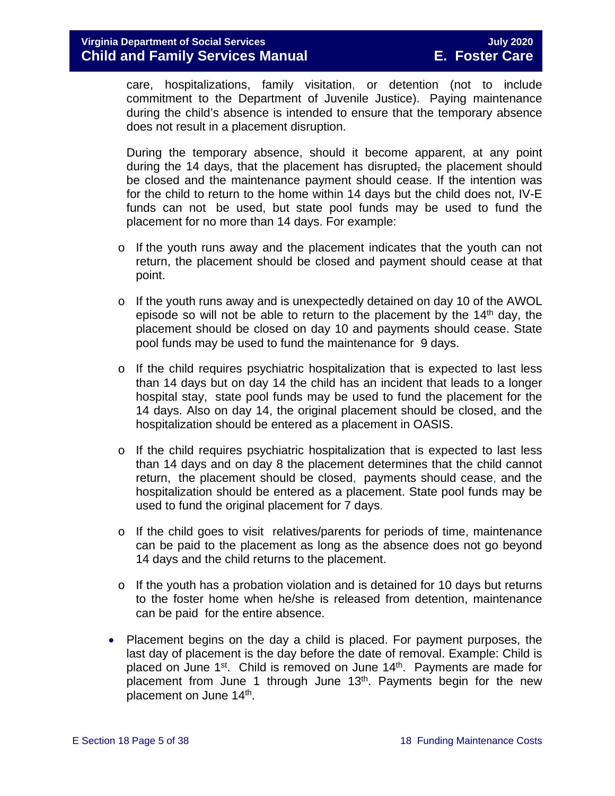care, hospitalizations, family visitation, or detention (not to include commitment to the Department of Juvenile Justice). Paying maintenance during the child's absence is intended to ensure that the temporary absence does not result in a placement disruption.

During the temporary absence, should it become apparent, at any point during the 14 days, that the placement has disrupted, the placement should be closed and the maintenance payment should cease. If the intention was for the child to return to the home within 14 days but the child does not, IV-E funds can not be used, but state pool funds may be used to fund the placement for no more than 14 days. For example:

- $\circ$  If the youth runs away and the placement indicates that the youth can not return, the placement should be closed and payment should cease at that point.
- $\circ$  If the youth runs away and is unexpectedly detained on day 10 of the AWOL episode so will not be able to return to the placement by the 14<sup>th</sup> day, the placement should be closed on day 10 and payments should cease. State pool funds may be used to fund the maintenance for 9 days.
- o If the child requires psychiatric hospitalization that is expected to last less than 14 days but on day 14 the child has an incident that leads to a longer hospital stay, state pool funds may be used to fund the placement for the 14 days. Also on day 14, the original placement should be closed, and the hospitalization should be entered as a placement in OASIS.
- $\circ$  If the child requires psychiatric hospitalization that is expected to last less than 14 days and on day 8 the placement determines that the child cannot return, the placement should be closed, payments should cease, and the hospitalization should be entered as a placement. State pool funds may be used to fund the original placement for 7 days.
- o If the child goes to visit relatives/parents for periods of time, maintenance can be paid to the placement as long as the absence does not go beyond 14 days and the child returns to the placement.
- $\circ$  If the youth has a probation violation and is detained for 10 days but returns to the foster home when he/she is released from detention, maintenance can be paid for the entire absence.
- Placement begins on the day a child is placed. For payment purposes, the last day of placement is the day before the date of removal. Example: Child is placed on June 1<sup>st</sup>. Child is removed on June 14<sup>th</sup>. Payments are made for placement from June 1 through June  $13<sup>th</sup>$ . Payments begin for the new placement on June 14<sup>th</sup>.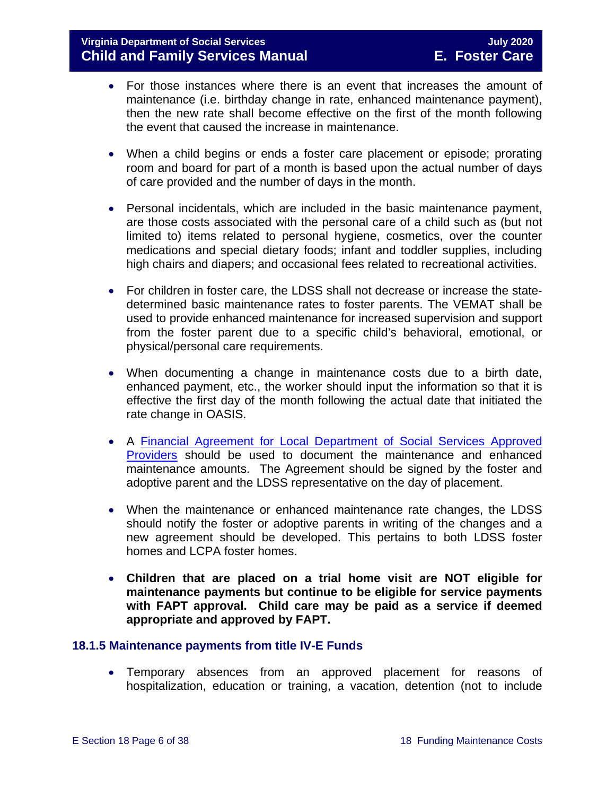- For those instances where there is an event that increases the amount of maintenance (i.e. birthday change in rate, enhanced maintenance payment), then the new rate shall become effective on the first of the month following the event that caused the increase in maintenance.
- When a child begins or ends a foster care placement or episode; prorating room and board for part of a month is based upon the actual number of days of care provided and the number of days in the month.
- Personal incidentals, which are included in the basic maintenance payment, are those costs associated with the personal care of a child such as (but not limited to) items related to personal hygiene, cosmetics, over the counter medications and special dietary foods; infant and toddler supplies, including high chairs and diapers; and occasional fees related to recreational activities.
- For children in foster care, the LDSS shall not decrease or increase the statedetermined basic maintenance rates to foster parents. The VEMAT shall be used to provide enhanced maintenance for increased supervision and support from the foster parent due to a specific child's behavioral, emotional, or physical/personal care requirements.
- When documenting a change in maintenance costs due to a birth date, enhanced payment, etc., the worker should input the information so that it is effective the first day of the month following the actual date that initiated the rate change in OASIS.
- A [Financial Agreement for Local Department of Social Services Approved](https://fusion.dss.virginia.gov/Portals/%5Bdfs%5D/Files/Family%20Recruitment/Family%20Recruitment%20Forms/Financial%20Agreement%20for%20Local%20Department%20of%20Social%20Services%20Approved%20Providers%20%28Foster%20Parents%29.pdf)  [Providers](https://fusion.dss.virginia.gov/Portals/%5Bdfs%5D/Files/Family%20Recruitment/Family%20Recruitment%20Forms/Financial%20Agreement%20for%20Local%20Department%20of%20Social%20Services%20Approved%20Providers%20%28Foster%20Parents%29.pdf) should be used to document the maintenance and enhanced maintenance amounts. The Agreement should be signed by the foster and adoptive parent and the LDSS representative on the day of placement.
- When the maintenance or enhanced maintenance rate changes, the LDSS should notify the foster or adoptive parents in writing of the changes and a new agreement should be developed. This pertains to both LDSS foster homes and LCPA foster homes.
- **Children that are placed on a trial home visit are NOT eligible for maintenance payments but continue to be eligible for service payments with FAPT approval. Child care may be paid as a service if deemed appropriate and approved by FAPT.**

#### <span id="page-5-0"></span>**18.1.5 Maintenance payments from title IV-E Funds**

• Temporary absences from an approved placement for reasons of hospitalization, education or training, a vacation, detention (not to include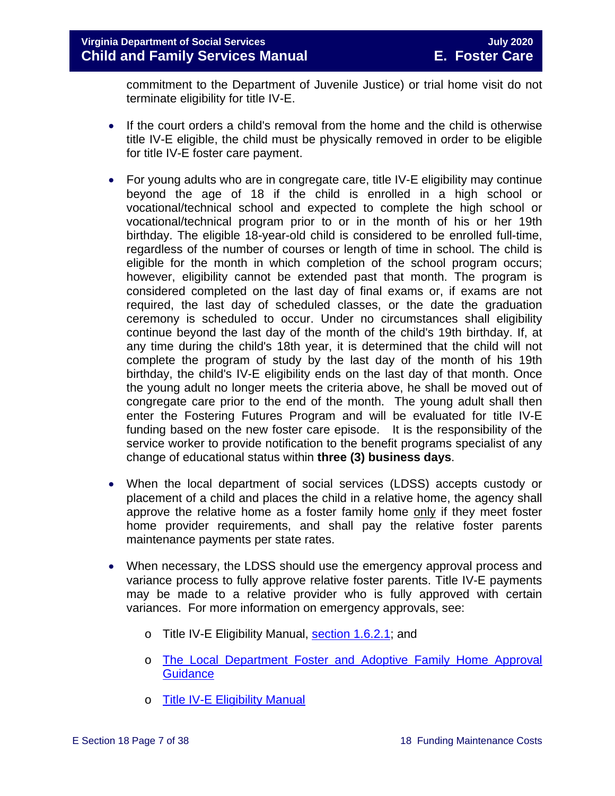commitment to the Department of Juvenile Justice) or trial home visit do not terminate eligibility for title IV-E.

- If the court orders a child's removal from the home and the child is otherwise title IV-E eligible, the child must be physically removed in order to be eligible for title IV-E foster care payment.
- For young adults who are in congregate care, title IV-E eligibility may continue beyond the age of 18 if the child is enrolled in a high school or vocational/technical school and expected to complete the high school or vocational/technical program prior to or in the month of his or her 19th birthday. The eligible 18-year-old child is considered to be enrolled full-time, regardless of the number of courses or length of time in school. The child is eligible for the month in which completion of the school program occurs; however, eligibility cannot be extended past that month. The program is considered completed on the last day of final exams or, if exams are not required, the last day of scheduled classes, or the date the graduation ceremony is scheduled to occur. Under no circumstances shall eligibility continue beyond the last day of the month of the child's 19th birthday. If, at any time during the child's 18th year, it is determined that the child will not complete the program of study by the last day of the month of his 19th birthday, the child's IV-E eligibility ends on the last day of that month. Once the young adult no longer meets the criteria above, he shall be moved out of congregate care prior to the end of the month. The young adult shall then enter the Fostering Futures Program and will be evaluated for title IV-E funding based on the new foster care episode. It is the responsibility of the service worker to provide notification to the benefit programs specialist of any change of educational status within **three (3) business days**.
- When the local department of social services (LDSS) accepts custody or placement of a child and places the child in a relative home, the agency shall approve the relative home as a foster family home only if they meet foster home provider requirements, and shall pay the relative foster parents maintenance payments per state rates.
- When necessary, the LDSS should use the emergency approval process and variance process to fully approve relative foster parents. Title IV-E payments may be made to a relative provider who is fully approved with certain variances. For more information on emergency approvals, see:
	- o Title IV-E Eligibility Manual, [section 1.6.2.1;](http://www.dss.virginia.gov/files/division/dfs/iv_e/manuals/title_IV-E_Foster_Care_Manual_July_2016.pdf) and
	- o The Local Department [Foster and Adoptive Family Home Approval](https://fusion.dss.virginia.gov/dfs/DFS-Home/Family-Recruitment/Family-Recruitment-Guidance)  **[Guidance](https://fusion.dss.virginia.gov/dfs/DFS-Home/Family-Recruitment/Family-Recruitment-Guidance)**
	- o [Title IV-E Eligibility Manual](https://fusion.dss.virginia.gov/dfs/DFS-Home/Title-IV-E/Title-IV-E-Guidance)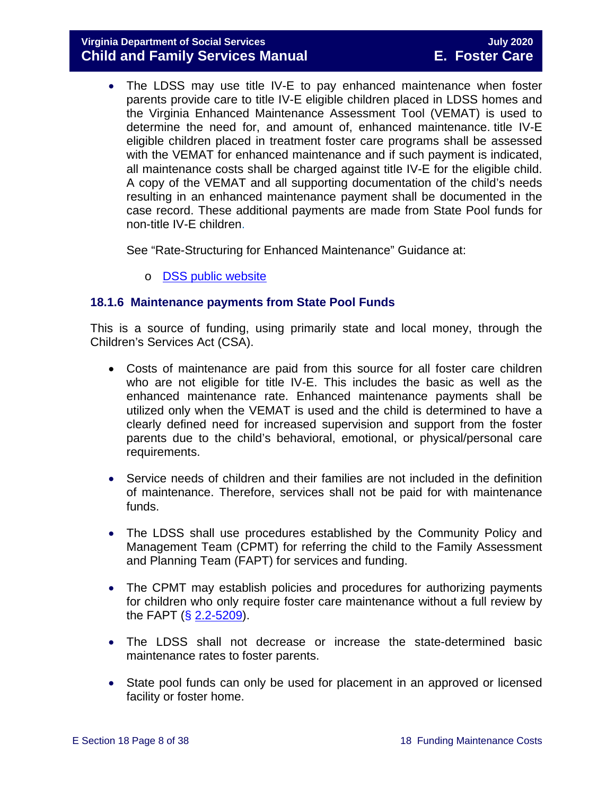#### **Virginia Department of Social Services July 2020 Child and Family Services Manual**

• The LDSS may use title IV-E to pay enhanced maintenance when foster parents provide care to title IV-E eligible children placed in LDSS homes and the Virginia Enhanced Maintenance Assessment Tool (VEMAT) is used to determine the need for, and amount of, enhanced maintenance. title IV-E eligible children placed in treatment foster care programs shall be assessed with the VEMAT for enhanced maintenance and if such payment is indicated, all maintenance costs shall be charged against title IV-E for the eligible child. A copy of the VEMAT and all supporting documentation of the child's needs resulting in an enhanced maintenance payment shall be documented in the case record. These additional payments are made from State Pool funds for non-title IV-E children.

See "Rate-Structuring for Enhanced Maintenance" Guidance at:

o [DSS public website](http://www.dss.virginia.gov/family/fc/index.cgi)

#### <span id="page-7-0"></span>**18.1.6 Maintenance payments from State Pool Funds**

This is a source of funding, using primarily state and local money, through the Children's Services Act (CSA).

- Costs of maintenance are paid from this source for all foster care children who are not eligible for title IV-E. This includes the basic as well as the enhanced maintenance rate. Enhanced maintenance payments shall be utilized only when the VEMAT is used and the child is determined to have a clearly defined need for increased supervision and support from the foster parents due to the child's behavioral, emotional, or physical/personal care requirements.
- Service needs of children and their families are not included in the definition of maintenance. Therefore, services shall not be paid for with maintenance funds.
- The LDSS shall use procedures established by the Community Policy and Management Team (CPMT) for referring the child to the Family Assessment and Planning Team (FAPT) for services and funding.
- The CPMT may establish policies and procedures for authorizing payments for children who only require foster care maintenance without a full review by the FAPT  $(*§* 2.2-5209)$  $(*§* 2.2-5209)$ .
- The LDSS shall not decrease or increase the state-determined basic maintenance rates to foster parents.
- State pool funds can only be used for placement in an approved or licensed facility or foster home.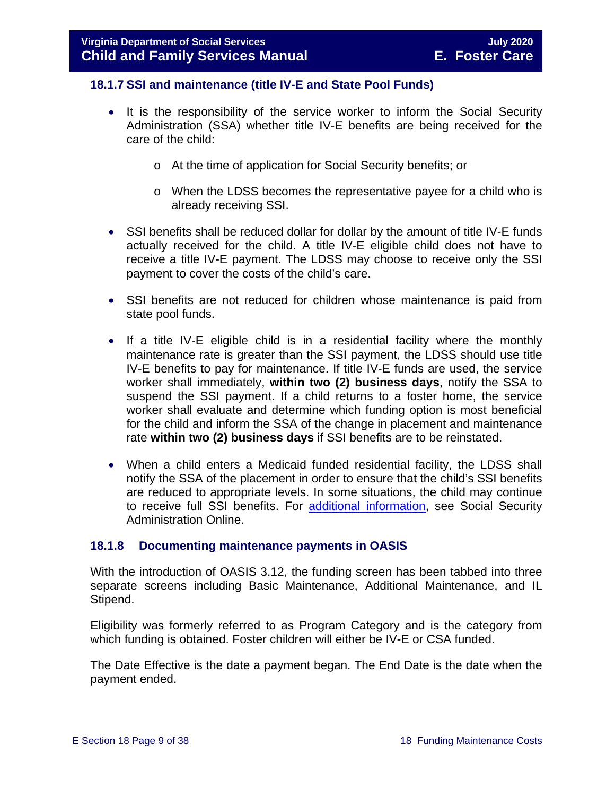#### <span id="page-8-0"></span>**18.1.7 SSI and maintenance (title IV-E and State Pool Funds)**

- It is the responsibility of the service worker to inform the Social Security Administration (SSA) whether title IV-E benefits are being received for the care of the child:
	- o At the time of application for Social Security benefits; or
	- o When the LDSS becomes the representative payee for a child who is already receiving SSI.
- SSI benefits shall be reduced dollar for dollar by the amount of title IV-E funds actually received for the child. A title IV-E eligible child does not have to receive a title IV-E payment. The LDSS may choose to receive only the SSI payment to cover the costs of the child's care.
- SSI benefits are not reduced for children whose maintenance is paid from state pool funds.
- If a title IV-E eligible child is in a residential facility where the monthly maintenance rate is greater than the SSI payment, the LDSS should use title IV-E benefits to pay for maintenance. If title IV-E funds are used, the service worker shall immediately, **within two (2) business days**, notify the SSA to suspend the SSI payment. If a child returns to a foster home, the service worker shall evaluate and determine which funding option is most beneficial for the child and inform the SSA of the change in placement and maintenance rate **within two (2) business days** if SSI benefits are to be reinstated.
- When a child enters a Medicaid funded residential facility, the LDSS shall notify the SSA of the placement in order to ensure that the child's SSI benefits are reduced to appropriate levels. In some situations, the child may continue to receive full SSI benefits. For [additional information,](https://secure.ssa.gov/apps10/poms.nsf/lnx/0500520140) see Social Security Administration Online.

#### <span id="page-8-1"></span>**18.1.8 Documenting maintenance payments in OASIS**

With the introduction of OASIS 3.12, the funding screen has been tabbed into three separate screens including Basic Maintenance, Additional Maintenance, and IL Stipend.

Eligibility was formerly referred to as Program Category and is the category from which funding is obtained. Foster children will either be IV-E or CSA funded.

The Date Effective is the date a payment began. The End Date is the date when the payment ended.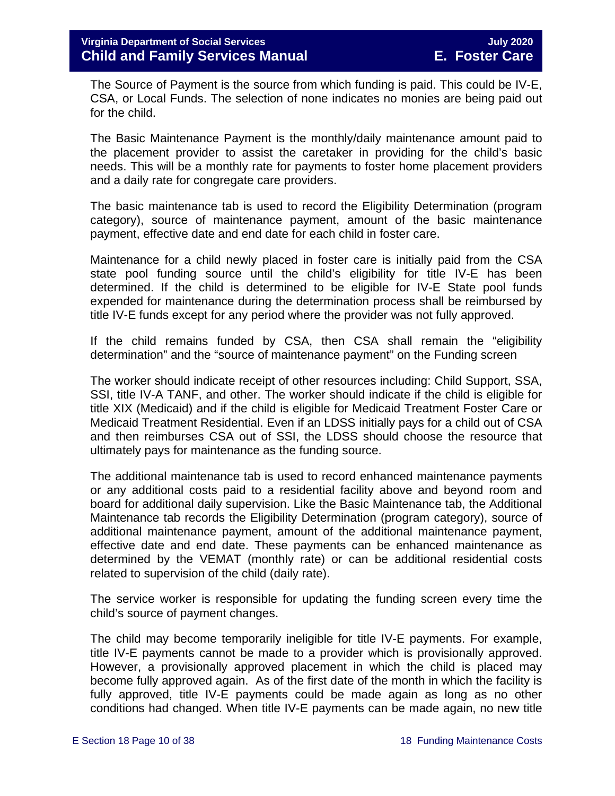The Source of Payment is the source from which funding is paid. This could be IV-E, CSA, or Local Funds. The selection of none indicates no monies are being paid out for the child.

The Basic Maintenance Payment is the monthly/daily maintenance amount paid to the placement provider to assist the caretaker in providing for the child's basic needs. This will be a monthly rate for payments to foster home placement providers and a daily rate for congregate care providers.

The basic maintenance tab is used to record the Eligibility Determination (program category), source of maintenance payment, amount of the basic maintenance payment, effective date and end date for each child in foster care.

Maintenance for a child newly placed in foster care is initially paid from the CSA state pool funding source until the child's eligibility for title IV-E has been determined. If the child is determined to be eligible for IV-E State pool funds expended for maintenance during the determination process shall be reimbursed by title IV-E funds except for any period where the provider was not fully approved.

If the child remains funded by CSA, then CSA shall remain the "eligibility determination" and the "source of maintenance payment" on the Funding screen

The worker should indicate receipt of other resources including: Child Support, SSA, SSI, title IV-A TANF, and other. The worker should indicate if the child is eligible for title XIX (Medicaid) and if the child is eligible for Medicaid Treatment Foster Care or Medicaid Treatment Residential. Even if an LDSS initially pays for a child out of CSA and then reimburses CSA out of SSI, the LDSS should choose the resource that ultimately pays for maintenance as the funding source.

The additional maintenance tab is used to record enhanced maintenance payments or any additional costs paid to a residential facility above and beyond room and board for additional daily supervision. Like the Basic Maintenance tab, the Additional Maintenance tab records the Eligibility Determination (program category), source of additional maintenance payment, amount of the additional maintenance payment, effective date and end date. These payments can be enhanced maintenance as determined by the VEMAT (monthly rate) or can be additional residential costs related to supervision of the child (daily rate).

The service worker is responsible for updating the funding screen every time the child's source of payment changes.

The child may become temporarily ineligible for title IV-E payments. For example, title IV-E payments cannot be made to a provider which is provisionally approved. However, a provisionally approved placement in which the child is placed may become fully approved again. As of the first date of the month in which the facility is fully approved, title IV-E payments could be made again as long as no other conditions had changed. When title IV-E payments can be made again, no new title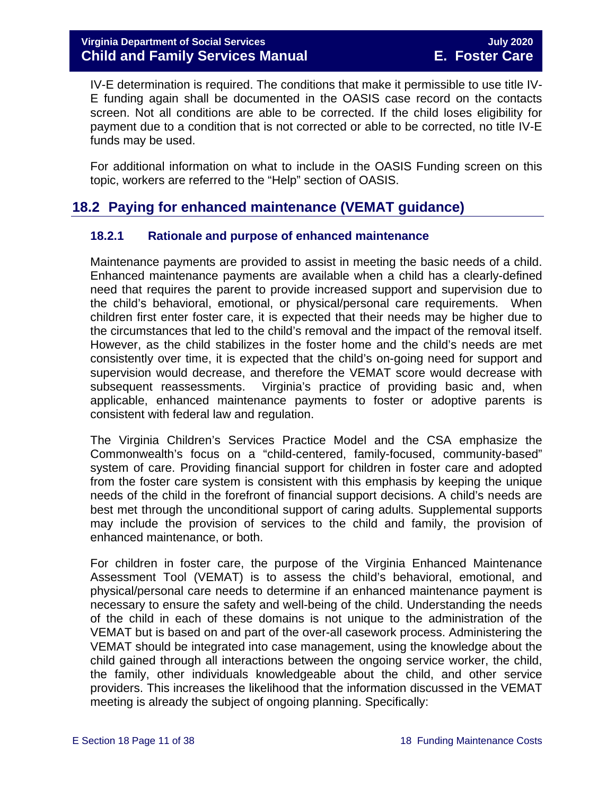IV-E determination is required. The conditions that make it permissible to use title IV-E funding again shall be documented in the OASIS case record on the contacts screen. Not all conditions are able to be corrected. If the child loses eligibility for payment due to a condition that is not corrected or able to be corrected, no title IV-E funds may be used.

For additional information on what to include in the OASIS Funding screen on this topic, workers are referred to the "Help" section of OASIS.

#### <span id="page-10-0"></span>**18.2 Paying for enhanced maintenance (VEMAT guidance)**

#### <span id="page-10-1"></span>**18.2.1 Rationale and purpose of enhanced maintenance**

Maintenance payments are provided to assist in meeting the basic needs of a child. Enhanced maintenance payments are available when a child has a clearly-defined need that requires the parent to provide increased support and supervision due to the child's behavioral, emotional, or physical/personal care requirements. When children first enter foster care, it is expected that their needs may be higher due to the circumstances that led to the child's removal and the impact of the removal itself. However, as the child stabilizes in the foster home and the child's needs are met consistently over time, it is expected that the child's on-going need for support and supervision would decrease, and therefore the VEMAT score would decrease with subsequent reassessments. Virginia's practice of providing basic and, when applicable, enhanced maintenance payments to foster or adoptive parents is consistent with federal law and regulation.

The Virginia Children's Services Practice Model and the CSA emphasize the Commonwealth's focus on a "child-centered, family-focused, community-based" system of care. Providing financial support for children in foster care and adopted from the foster care system is consistent with this emphasis by keeping the unique needs of the child in the forefront of financial support decisions. A child's needs are best met through the unconditional support of caring adults. Supplemental supports may include the provision of services to the child and family, the provision of enhanced maintenance, or both.

For children in foster care, the purpose of the Virginia Enhanced Maintenance Assessment Tool (VEMAT) is to assess the child's behavioral, emotional, and physical/personal care needs to determine if an enhanced maintenance payment is necessary to ensure the safety and well-being of the child. Understanding the needs of the child in each of these domains is not unique to the administration of the VEMAT but is based on and part of the over-all casework process. Administering the VEMAT should be integrated into case management, using the knowledge about the child gained through all interactions between the ongoing service worker, the child, the family, other individuals knowledgeable about the child, and other service providers. This increases the likelihood that the information discussed in the VEMAT meeting is already the subject of ongoing planning. Specifically: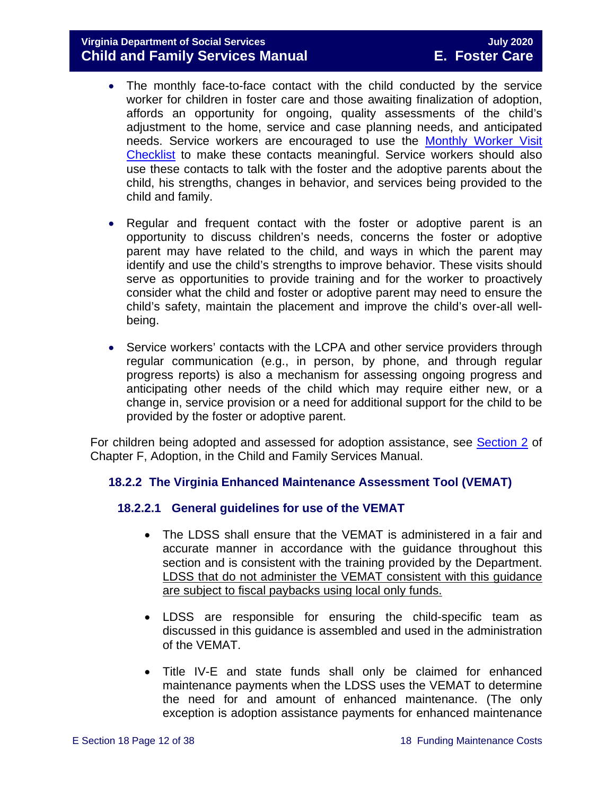#### **Virginia Department of Social Services July 2020 Child and Family Services Manual**

- The monthly face-to-face contact with the child conducted by the service worker for children in foster care and those awaiting finalization of adoption, affords an opportunity for ongoing, quality assessments of the child's adjustment to the home, service and case planning needs, and anticipated needs. Service workers are encouraged to use the [Monthly Worker Visit](https://fusion.dss.virginia.gov/Portals/%5Bdfs%5D/Files/Foster%20Care/Job%20Aids%20%26%20Resources/Monthly%20Worker%20Visit%20Checklist.pdf)  [Checklist](https://fusion.dss.virginia.gov/Portals/%5Bdfs%5D/Files/Foster%20Care/Job%20Aids%20%26%20Resources/Monthly%20Worker%20Visit%20Checklist.pdf) to make these contacts meaningful. Service workers should also use these contacts to talk with the foster and the adoptive parents about the child, his strengths, changes in behavior, and services being provided to the child and family.
- Regular and frequent contact with the foster or adoptive parent is an opportunity to discuss children's needs, concerns the foster or adoptive parent may have related to the child, and ways in which the parent may identify and use the child's strengths to improve behavior. These visits should serve as opportunities to provide training and for the worker to proactively consider what the child and foster or adoptive parent may need to ensure the child's safety, maintain the placement and improve the child's over-all wellbeing.
- Service workers' contacts with the LCPA and other service providers through regular communication (e.g., in person, by phone, and through regular progress reports) is also a mechanism for assessing ongoing progress and anticipating other needs of the child which may require either new, or a change in, service provision or a need for additional support for the child to be provided by the foster or adoptive parent.

For children being adopted and assessed for adoption assistance, see [Section 2](https://fusion.dss.virginia.gov/Portals/%5Bdfs%5D/Files/Adoption/Guidance/2020/section_2_adoption%20assistance.pdf) of Chapter F, Adoption, in the Child and Family Services Manual.

#### <span id="page-11-0"></span>**18.2.2 The Virginia Enhanced Maintenance Assessment Tool (VEMAT)**

#### **18.2.2.1 General guidelines for use of the VEMAT**

- The LDSS shall ensure that the VEMAT is administered in a fair and accurate manner in accordance with the guidance throughout this section and is consistent with the training provided by the Department. LDSS that do not administer the VEMAT consistent with this guidance are subject to fiscal paybacks using local only funds.
- LDSS are responsible for ensuring the child-specific team as discussed in this guidance is assembled and used in the administration of the VEMAT.
- Title IV-E and state funds shall only be claimed for enhanced maintenance payments when the LDSS uses the VEMAT to determine the need for and amount of enhanced maintenance. (The only exception is adoption assistance payments for enhanced maintenance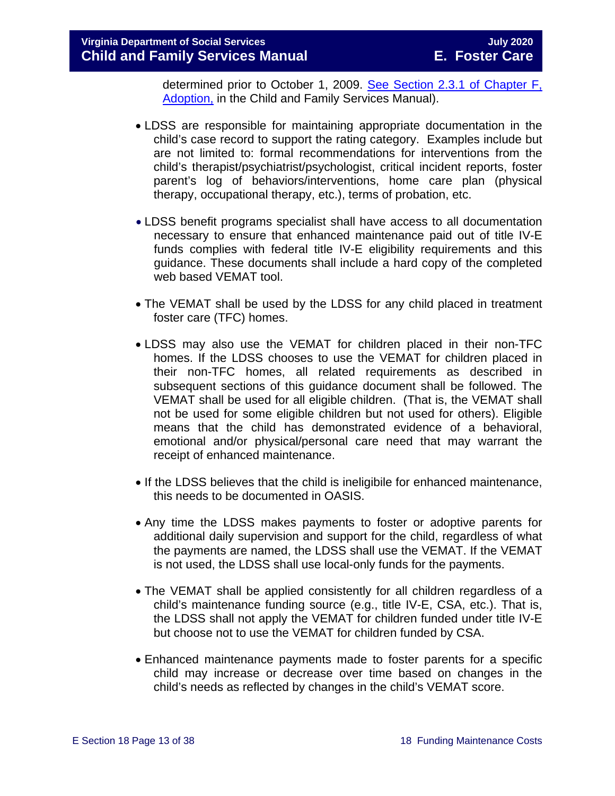determined prior to October 1, 2009. [See Section 2.3.1 of Chapter F,](https://fusion.dss.virginia.gov/Portals/%5Bdfs%5D/Files/Adoption/Guidance/2020/section_2_adoption%20assistance.pdf)  [Adoption,](https://fusion.dss.virginia.gov/Portals/%5Bdfs%5D/Files/Adoption/Guidance/2020/section_2_adoption%20assistance.pdf) in the Child and Family Services Manual).

- LDSS are responsible for maintaining appropriate documentation in the child's case record to support the rating category. Examples include but are not limited to: formal recommendations for interventions from the child's therapist/psychiatrist/psychologist, critical incident reports, foster parent's log of behaviors/interventions, home care plan (physical therapy, occupational therapy, etc.), terms of probation, etc.
- LDSS benefit programs specialist shall have access to all documentation necessary to ensure that enhanced maintenance paid out of title IV-E funds complies with federal title IV-E eligibility requirements and this guidance. These documents shall include a hard copy of the completed web based VEMAT tool.
- The VEMAT shall be used by the LDSS for any child placed in treatment foster care (TFC) homes.
- LDSS may also use the VEMAT for children placed in their non-TFC homes. If the LDSS chooses to use the VEMAT for children placed in their non-TFC homes, all related requirements as described in subsequent sections of this guidance document shall be followed. The VEMAT shall be used for all eligible children. (That is, the VEMAT shall not be used for some eligible children but not used for others). Eligible means that the child has demonstrated evidence of a behavioral, emotional and/or physical/personal care need that may warrant the receipt of enhanced maintenance.
- If the LDSS believes that the child is ineligibile for enhanced maintenance, this needs to be documented in OASIS.
- Any time the LDSS makes payments to foster or adoptive parents for additional daily supervision and support for the child, regardless of what the payments are named, the LDSS shall use the VEMAT. If the VEMAT is not used, the LDSS shall use local-only funds for the payments.
- The VEMAT shall be applied consistently for all children regardless of a child's maintenance funding source (e.g., title IV-E, CSA, etc.). That is, the LDSS shall not apply the VEMAT for children funded under title IV-E but choose not to use the VEMAT for children funded by CSA.
- Enhanced maintenance payments made to foster parents for a specific child may increase or decrease over time based on changes in the child's needs as reflected by changes in the child's VEMAT score.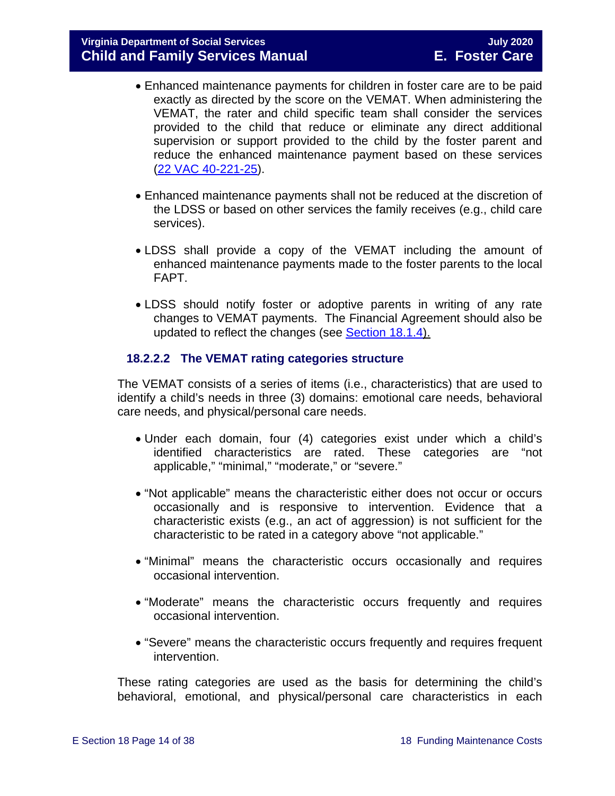- Enhanced maintenance payments for children in foster care are to be paid exactly as directed by the score on the VEMAT. When administering the VEMAT, the rater and child specific team shall consider the services provided to the child that reduce or eliminate any direct additional supervision or support provided to the child by the foster parent and reduce the enhanced maintenance payment based on these services [\(22 VAC 40-221-25\)](http://leg1.state.va.us/cgi-bin/legp504.exe?000+reg+22VAC40-221-25).
- Enhanced maintenance payments shall not be reduced at the discretion of the LDSS or based on other services the family receives (e.g., child care services).
- LDSS shall provide a copy of the VEMAT including the amount of enhanced maintenance payments made to the foster parents to the local FAPT.
- LDSS should notify foster or adoptive parents in writing of any rate changes to VEMAT payments. The Financial Agreement should also be updated to reflect the changes (see [Section 18.1.4\)](#page-3-1).

#### **18.2.2.2 The VEMAT rating categories structure**

The VEMAT consists of a series of items (i.e., characteristics) that are used to identify a child's needs in three (3) domains: emotional care needs, behavioral care needs, and physical/personal care needs.

- Under each domain, four (4) categories exist under which a child's identified characteristics are rated. These categories are "not applicable," "minimal," "moderate," or "severe."
- "Not applicable" means the characteristic either does not occur or occurs occasionally and is responsive to intervention. Evidence that a characteristic exists (e.g., an act of aggression) is not sufficient for the characteristic to be rated in a category above "not applicable."
- "Minimal" means the characteristic occurs occasionally and requires occasional intervention.
- "Moderate" means the characteristic occurs frequently and requires occasional intervention.
- "Severe" means the characteristic occurs frequently and requires frequent intervention.

These rating categories are used as the basis for determining the child's behavioral, emotional, and physical/personal care characteristics in each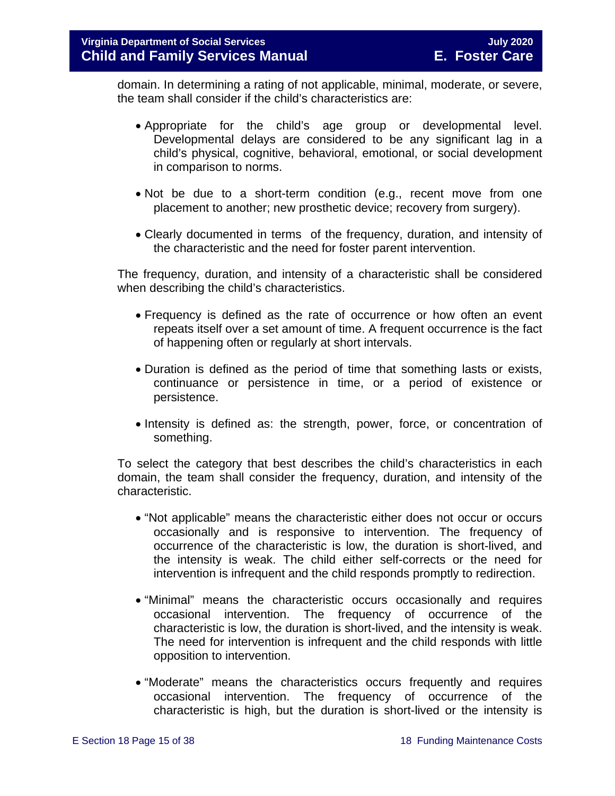domain. In determining a rating of not applicable, minimal, moderate, or severe, the team shall consider if the child's characteristics are:

- Appropriate for the child's age group or developmental level. Developmental delays are considered to be any significant lag in a child's physical, cognitive, behavioral, emotional, or social development in comparison to norms.
- Not be due to a short-term condition (e.g., recent move from one placement to another; new prosthetic device; recovery from surgery).
- Clearly documented in terms of the frequency, duration, and intensity of the characteristic and the need for foster parent intervention.

The frequency, duration, and intensity of a characteristic shall be considered when describing the child's characteristics.

- Frequency is defined as the rate of occurrence or how often an event repeats itself over a set amount of time. A frequent occurrence is the fact of happening often or regularly at short intervals.
- Duration is defined as the period of time that something lasts or exists, continuance or persistence in time, or a period of existence or persistence.
- Intensity is defined as: the strength, power, force, or concentration of something.

To select the category that best describes the child's characteristics in each domain, the team shall consider the frequency, duration, and intensity of the characteristic.

- "Not applicable" means the characteristic either does not occur or occurs occasionally and is responsive to intervention. The frequency of occurrence of the characteristic is low, the duration is short-lived, and the intensity is weak. The child either self-corrects or the need for intervention is infrequent and the child responds promptly to redirection.
- "Minimal" means the characteristic occurs occasionally and requires occasional intervention. The frequency of occurrence of the characteristic is low, the duration is short-lived, and the intensity is weak. The need for intervention is infrequent and the child responds with little opposition to intervention.
- "Moderate" means the characteristics occurs frequently and requires occasional intervention. The frequency of occurrence of the characteristic is high, but the duration is short-lived or the intensity is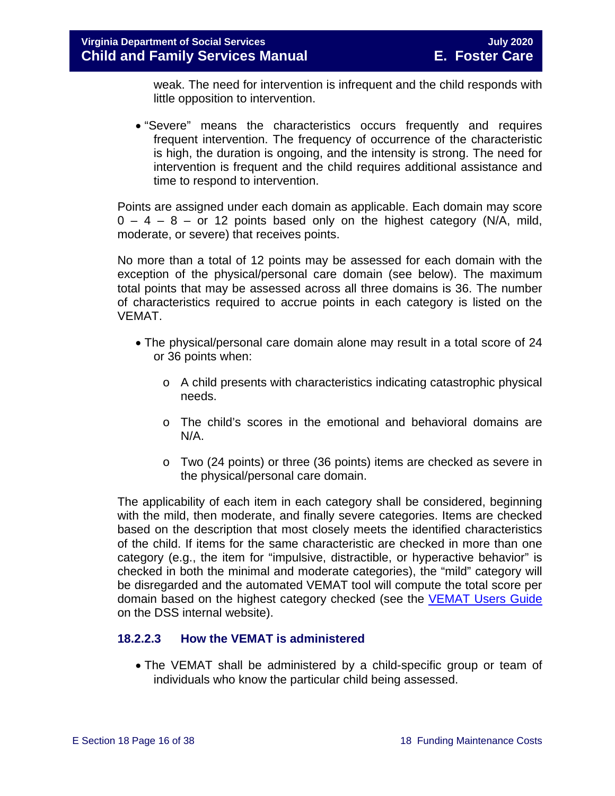weak. The need for intervention is infrequent and the child responds with little opposition to intervention.

• "Severe" means the characteristics occurs frequently and requires frequent intervention. The frequency of occurrence of the characteristic is high, the duration is ongoing, and the intensity is strong. The need for intervention is frequent and the child requires additional assistance and time to respond to intervention.

Points are assigned under each domain as applicable. Each domain may score  $0 - 4 - 8 -$  or 12 points based only on the highest category (N/A, mild, moderate, or severe) that receives points.

No more than a total of 12 points may be assessed for each domain with the exception of the physical/personal care domain (see below). The maximum total points that may be assessed across all three domains is 36. The number of characteristics required to accrue points in each category is listed on the VEMAT.

- The physical/personal care domain alone may result in a total score of 24 or 36 points when:
	- o A child presents with characteristics indicating catastrophic physical needs.
	- o The child's scores in the emotional and behavioral domains are N/A.
	- o Two (24 points) or three (36 points) items are checked as severe in the physical/personal care domain.

The applicability of each item in each category shall be considered, beginning with the mild, then moderate, and finally severe categories. Items are checked based on the description that most closely meets the identified characteristics of the child. If items for the same characteristic are checked in more than one category (e.g., the item for "impulsive, distractible, or hyperactive behavior" is checked in both the minimal and moderate categories), the "mild" category will be disregarded and the automated VEMAT tool will compute the total score per domain based on the highest category checked (see the [VEMAT Users Guide](https://fusion.dss.virginia.gov/Portals/%5bDIS%5d/Files/VEMAT_User_Guide_2016.pdf?ver=2018-12-03-141108-183) on the DSS internal website).

#### <span id="page-15-0"></span>**18.2.2.3 How the VEMAT is administered**

• The VEMAT shall be administered by a child-specific group or team of individuals who know the particular child being assessed.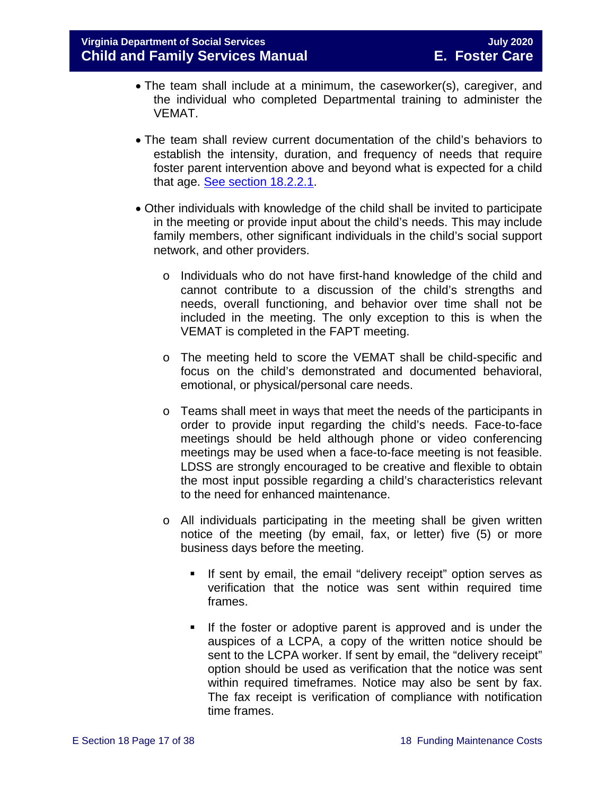- The team shall include at a minimum, the caseworker(s), caregiver, and the individual who completed Departmental training to administer the VEMAT.
- The team shall review current documentation of the child's behaviors to establish the intensity, duration, and frequency of needs that require foster parent intervention above and beyond what is expected for a child that age. [See section 18.2.2.1.](#page-11-0)
- Other individuals with knowledge of the child shall be invited to participate in the meeting or provide input about the child's needs. This may include family members, other significant individuals in the child's social support network, and other providers.
	- o Individuals who do not have first-hand knowledge of the child and cannot contribute to a discussion of the child's strengths and needs, overall functioning, and behavior over time shall not be included in the meeting. The only exception to this is when the VEMAT is completed in the FAPT meeting.
	- o The meeting held to score the VEMAT shall be child-specific and focus on the child's demonstrated and documented behavioral, emotional, or physical/personal care needs.
	- o Teams shall meet in ways that meet the needs of the participants in order to provide input regarding the child's needs. Face-to-face meetings should be held although phone or video conferencing meetings may be used when a face-to-face meeting is not feasible. LDSS are strongly encouraged to be creative and flexible to obtain the most input possible regarding a child's characteristics relevant to the need for enhanced maintenance.
	- o All individuals participating in the meeting shall be given written notice of the meeting (by email, fax, or letter) five (5) or more business days before the meeting.
		- **If sent by email, the email "delivery receipt" option serves as** verification that the notice was sent within required time frames.
		- If the foster or adoptive parent is approved and is under the auspices of a LCPA, a copy of the written notice should be sent to the LCPA worker. If sent by email, the "delivery receipt" option should be used as verification that the notice was sent within required timeframes. Notice may also be sent by fax. The fax receipt is verification of compliance with notification time frames.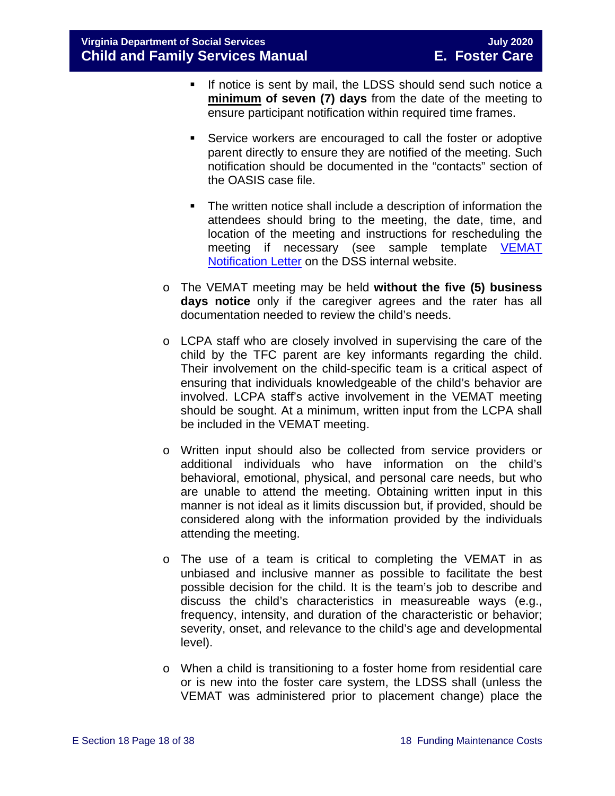- If notice is sent by mail, the LDSS should send such notice a **minimum of seven (7) days** from the date of the meeting to ensure participant notification within required time frames.
- Service workers are encouraged to call the foster or adoptive parent directly to ensure they are notified of the meeting. Such notification should be documented in the "contacts" section of the OASIS case file.
- The written notice shall include a description of information the attendees should bring to the meeting, the date, time, and location of the meeting and instructions for rescheduling the meeting if necessary (see sample template VEMAT [Notification Letter](https://fusion.dss.virginia.gov/Portals/%5BDIS%5D/Files/032-05-0393-00-eng.xls) on the DSS internal website.
- o The VEMAT meeting may be held **without the five (5) business days notice** only if the caregiver agrees and the rater has all documentation needed to review the child's needs.
- o LCPA staff who are closely involved in supervising the care of the child by the TFC parent are key informants regarding the child. Their involvement on the child-specific team is a critical aspect of ensuring that individuals knowledgeable of the child's behavior are involved. LCPA staff's active involvement in the VEMAT meeting should be sought. At a minimum, written input from the LCPA shall be included in the VEMAT meeting.
- o Written input should also be collected from service providers or additional individuals who have information on the child's behavioral, emotional, physical, and personal care needs, but who are unable to attend the meeting. Obtaining written input in this manner is not ideal as it limits discussion but, if provided, should be considered along with the information provided by the individuals attending the meeting.
- o The use of a team is critical to completing the VEMAT in as unbiased and inclusive manner as possible to facilitate the best possible decision for the child. It is the team's job to describe and discuss the child's characteristics in measureable ways (e.g., frequency, intensity, and duration of the characteristic or behavior; severity, onset, and relevance to the child's age and developmental level).
- o When a child is transitioning to a foster home from residential care or is new into the foster care system, the LDSS shall (unless the VEMAT was administered prior to placement change) place the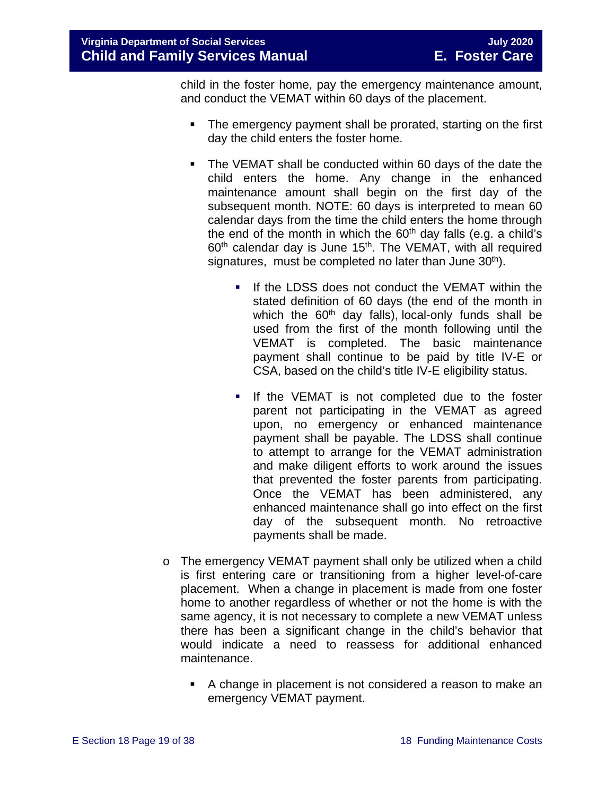child in the foster home, pay the emergency maintenance amount, and conduct the VEMAT within 60 days of the placement.

- The emergency payment shall be prorated, starting on the first day the child enters the foster home.
- The VEMAT shall be conducted within 60 days of the date the child enters the home. Any change in the enhanced maintenance amount shall begin on the first day of the subsequent month. NOTE: 60 days is interpreted to mean 60 calendar days from the time the child enters the home through the end of the month in which the  $60<sup>th</sup>$  day falls (e.g. a child's  $60<sup>th</sup>$  calendar day is June 15<sup>th</sup>. The VEMAT, with all required signatures, must be completed no later than June  $30<sup>th</sup>$ ).
	- If the LDSS does not conduct the VEMAT within the stated definition of 60 days (the end of the month in which the  $60<sup>th</sup>$  day falls), local-only funds shall be used from the first of the month following until the VEMAT is completed. The basic maintenance payment shall continue to be paid by title IV-E or CSA, based on the child's title IV-E eligibility status.
	- If the VEMAT is not completed due to the foster parent not participating in the VEMAT as agreed upon, no emergency or enhanced maintenance payment shall be payable. The LDSS shall continue to attempt to arrange for the VEMAT administration and make diligent efforts to work around the issues that prevented the foster parents from participating. Once the VEMAT has been administered, any enhanced maintenance shall go into effect on the first day of the subsequent month. No retroactive payments shall be made.
- o The emergency VEMAT payment shall only be utilized when a child is first entering care or transitioning from a higher level-of-care placement. When a change in placement is made from one foster home to another regardless of whether or not the home is with the same agency, it is not necessary to complete a new VEMAT unless there has been a significant change in the child's behavior that would indicate a need to reassess for additional enhanced maintenance.
	- A change in placement is not considered a reason to make an emergency VEMAT payment.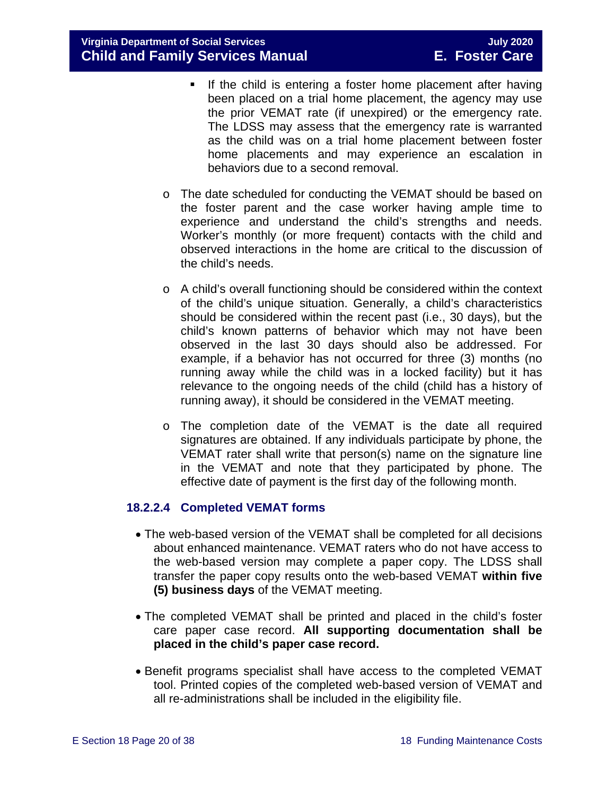- **If the child is entering a foster home placement after having** been placed on a trial home placement, the agency may use the prior VEMAT rate (if unexpired) or the emergency rate. The LDSS may assess that the emergency rate is warranted as the child was on a trial home placement between foster home placements and may experience an escalation in behaviors due to a second removal.
- o The date scheduled for conducting the VEMAT should be based on the foster parent and the case worker having ample time to experience and understand the child's strengths and needs. Worker's monthly (or more frequent) contacts with the child and observed interactions in the home are critical to the discussion of the child's needs.
- o A child's overall functioning should be considered within the context of the child's unique situation. Generally, a child's characteristics should be considered within the recent past (i.e., 30 days), but the child's known patterns of behavior which may not have been observed in the last 30 days should also be addressed. For example, if a behavior has not occurred for three (3) months (no running away while the child was in a locked facility) but it has relevance to the ongoing needs of the child (child has a history of running away), it should be considered in the VEMAT meeting.
- o The completion date of the VEMAT is the date all required signatures are obtained. If any individuals participate by phone, the VEMAT rater shall write that person(s) name on the signature line in the VEMAT and note that they participated by phone. The effective date of payment is the first day of the following month.

#### **18.2.2.4 Completed VEMAT forms**

- The web-based version of the VEMAT shall be completed for all decisions about enhanced maintenance. VEMAT raters who do not have access to the web-based version may complete a paper copy. The LDSS shall transfer the paper copy results onto the web-based VEMAT **within five (5) business days** of the VEMAT meeting.
- The completed VEMAT shall be printed and placed in the child's foster care paper case record. **All supporting documentation shall be placed in the child's paper case record.**
- Benefit programs specialist shall have access to the completed VEMAT tool. Printed copies of the completed web-based version of VEMAT and all re-administrations shall be included in the eligibility file.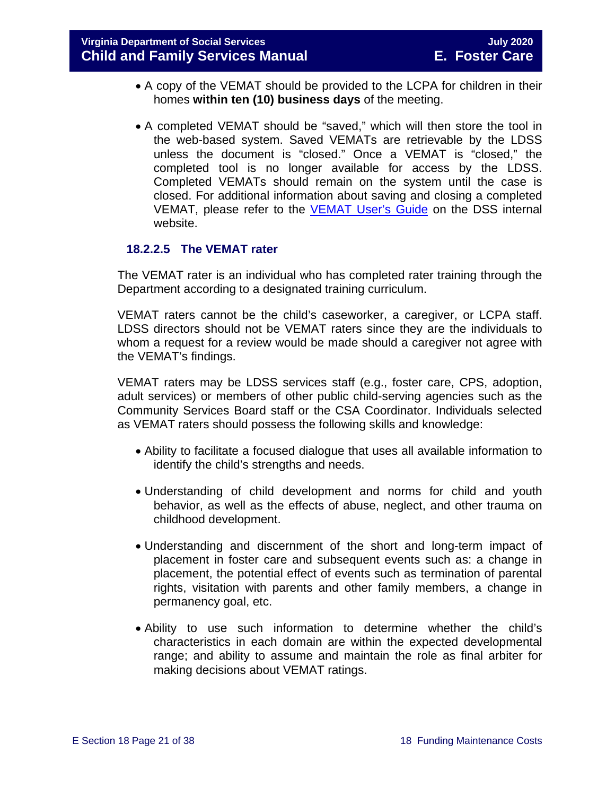- A copy of the VEMAT should be provided to the LCPA for children in their homes **within ten (10) business days** of the meeting.
- A completed VEMAT should be "saved," which will then store the tool in the web-based system. Saved VEMATs are retrievable by the LDSS unless the document is "closed." Once a VEMAT is "closed," the completed tool is no longer available for access by the LDSS. Completed VEMATs should remain on the system until the case is closed. For additional information about saving and closing a completed VEMAT, please refer to the [VEMAT User's Guide](https://fusion.dss.virginia.gov/Portals/%5BDIS%5D/Files/VEMAT_User_Guide_2016.pdf) on the DSS internal website.

#### **18.2.2.5 The VEMAT rater**

The VEMAT rater is an individual who has completed rater training through the Department according to a designated training curriculum.

VEMAT raters cannot be the child's caseworker, a caregiver, or LCPA staff. LDSS directors should not be VEMAT raters since they are the individuals to whom a request for a review would be made should a caregiver not agree with the VEMAT's findings.

VEMAT raters may be LDSS services staff (e.g., foster care, CPS, adoption, adult services) or members of other public child-serving agencies such as the Community Services Board staff or the CSA Coordinator. Individuals selected as VEMAT raters should possess the following skills and knowledge:

- Ability to facilitate a focused dialogue that uses all available information to identify the child's strengths and needs.
- Understanding of child development and norms for child and youth behavior, as well as the effects of abuse, neglect, and other trauma on childhood development.
- Understanding and discernment of the short and long-term impact of placement in foster care and subsequent events such as: a change in placement, the potential effect of events such as termination of parental rights, visitation with parents and other family members, a change in permanency goal, etc.
- Ability to use such information to determine whether the child's characteristics in each domain are within the expected developmental range; and ability to assume and maintain the role as final arbiter for making decisions about VEMAT ratings.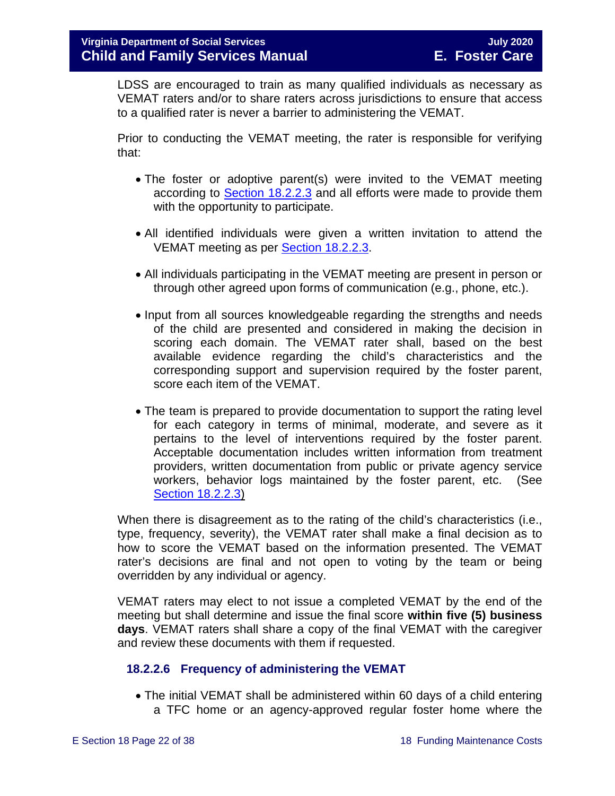LDSS are encouraged to train as many qualified individuals as necessary as VEMAT raters and/or to share raters across jurisdictions to ensure that access to a qualified rater is never a barrier to administering the VEMAT.

Prior to conducting the VEMAT meeting, the rater is responsible for verifying that:

- The foster or adoptive parent(s) were invited to the VEMAT meeting according to Section [18.2.2.3](#page-15-0) and all efforts were made to provide them with the opportunity to participate.
- All identified individuals were given a written invitation to attend the VEMAT meeting as per Section [18.2.2.3.](#page-15-0)
- All individuals participating in the VEMAT meeting are present in person or through other agreed upon forms of communication (e.g., phone, etc.).
- Input from all sources knowledgeable regarding the strengths and needs of the child are presented and considered in making the decision in scoring each domain. The VEMAT rater shall, based on the best available evidence regarding the child's characteristics and the corresponding support and supervision required by the foster parent, score each item of the VEMAT.
- The team is prepared to provide documentation to support the rating level for each category in terms of minimal, moderate, and severe as it pertains to the level of interventions required by the foster parent. Acceptable documentation includes written information from treatment providers, written documentation from public or private agency service workers, behavior logs maintained by the foster parent, etc. (See [Section 18.2.2.3\)](#page-15-0)

When there is disagreement as to the rating of the child's characteristics (i.e., type, frequency, severity), the VEMAT rater shall make a final decision as to how to score the VEMAT based on the information presented. The VEMAT rater's decisions are final and not open to voting by the team or being overridden by any individual or agency.

VEMAT raters may elect to not issue a completed VEMAT by the end of the meeting but shall determine and issue the final score **within five (5) business days**. VEMAT raters shall share a copy of the final VEMAT with the caregiver and review these documents with them if requested.

#### <span id="page-21-0"></span>**18.2.2.6 Frequency of administering the VEMAT**

• The initial VEMAT shall be administered within 60 days of a child entering a TFC home or an agency-approved regular foster home where the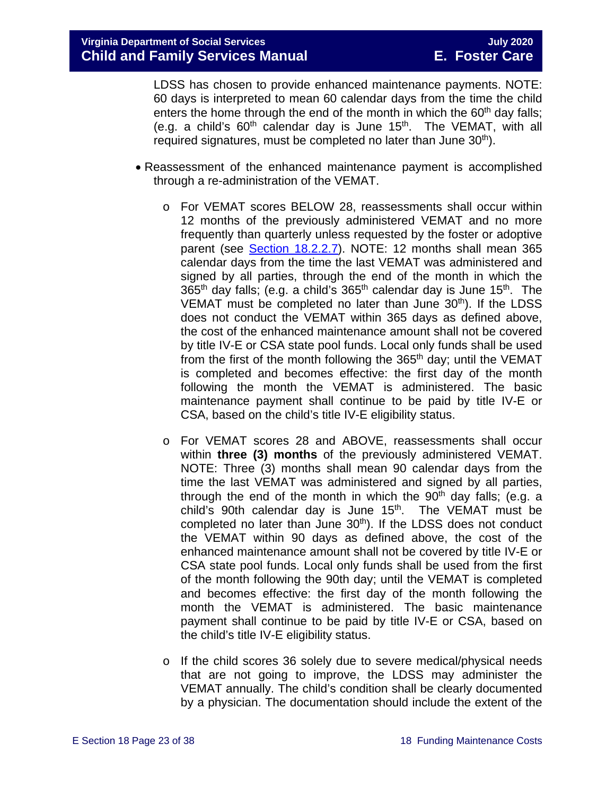LDSS has chosen to provide enhanced maintenance payments. NOTE: 60 days is interpreted to mean 60 calendar days from the time the child enters the home through the end of the month in which the  $60<sup>th</sup>$  day falls; (e.g. a child's  $60<sup>th</sup>$  calendar day is June 15<sup>th</sup>. The VEMAT, with all required signatures, must be completed no later than June 30<sup>th</sup>).

- Reassessment of the enhanced maintenance payment is accomplished through a re-administration of the VEMAT.
	- o For VEMAT scores BELOW 28, reassessments shall occur within 12 months of the previously administered VEMAT and no more frequently than quarterly unless requested by the foster or adoptive parent (see Section [18.2.2.7\)](#page-23-0). NOTE: 12 months shall mean 365 calendar days from the time the last VEMAT was administered and signed by all parties, through the end of the month in which the 365<sup>th</sup> day falls; (e.g. a child's 365<sup>th</sup> calendar day is June 15<sup>th</sup>. The VEMAT must be completed no later than June 30<sup>th</sup>). If the LDSS does not conduct the VEMAT within 365 days as defined above, the cost of the enhanced maintenance amount shall not be covered by title IV-E or CSA state pool funds. Local only funds shall be used from the first of the month following the  $365<sup>th</sup>$  day; until the VEMAT is completed and becomes effective: the first day of the month following the month the VEMAT is administered. The basic maintenance payment shall continue to be paid by title IV-E or CSA, based on the child's title IV-E eligibility status.
	- o For VEMAT scores 28 and ABOVE, reassessments shall occur within **three (3) months** of the previously administered VEMAT. NOTE: Three (3) months shall mean 90 calendar days from the time the last VEMAT was administered and signed by all parties, through the end of the month in which the  $90<sup>th</sup>$  day falls; (e.g. a child's 90th calendar day is June  $15<sup>th</sup>$ . The VEMAT must be completed no later than June 30<sup>th</sup>). If the LDSS does not conduct the VEMAT within 90 days as defined above, the cost of the enhanced maintenance amount shall not be covered by title IV-E or CSA state pool funds. Local only funds shall be used from the first of the month following the 90th day; until the VEMAT is completed and becomes effective: the first day of the month following the month the VEMAT is administered. The basic maintenance payment shall continue to be paid by title IV-E or CSA, based on the child's title IV-E eligibility status.
	- o If the child scores 36 solely due to severe medical/physical needs that are not going to improve, the LDSS may administer the VEMAT annually. The child's condition shall be clearly documented by a physician. The documentation should include the extent of the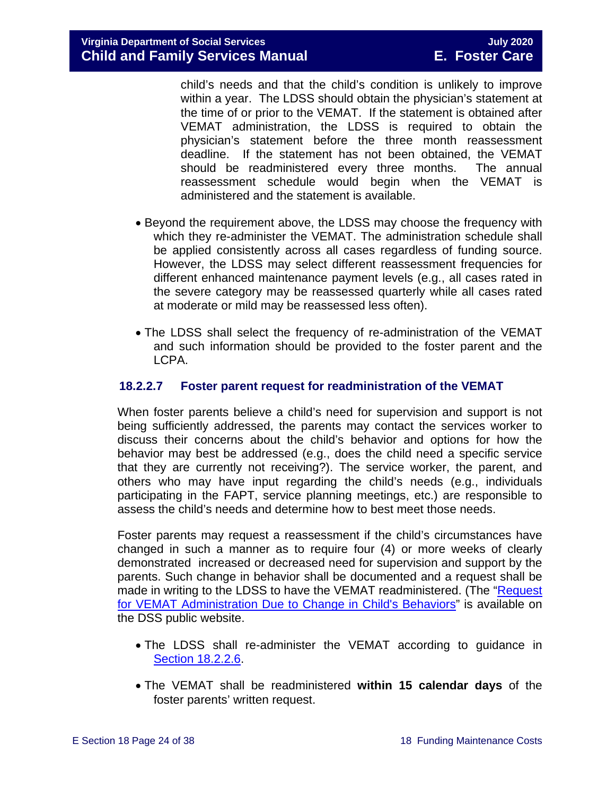child's needs and that the child's condition is unlikely to improve within a year. The LDSS should obtain the physician's statement at the time of or prior to the VEMAT. If the statement is obtained after VEMAT administration, the LDSS is required to obtain the physician's statement before the three month reassessment deadline. If the statement has not been obtained, the VEMAT should be readministered every three months. The annual reassessment schedule would begin when the VEMAT is administered and the statement is available.

- Beyond the requirement above, the LDSS may choose the frequency with which they re-administer the VEMAT. The administration schedule shall be applied consistently across all cases regardless of funding source. However, the LDSS may select different reassessment frequencies for different enhanced maintenance payment levels (e.g., all cases rated in the severe category may be reassessed quarterly while all cases rated at moderate or mild may be reassessed less often).
- The LDSS shall select the frequency of re-administration of the VEMAT and such information should be provided to the foster parent and the LCPA.

#### <span id="page-23-0"></span>**18.2.2.7 Foster parent request for readministration of the VEMAT**

When foster parents believe a child's need for supervision and support is not being sufficiently addressed, the parents may contact the services worker to discuss their concerns about the child's behavior and options for how the behavior may best be addressed (e.g., does the child need a specific service that they are currently not receiving?). The service worker, the parent, and others who may have input regarding the child's needs (e.g., individuals participating in the FAPT, service planning meetings, etc.) are responsible to assess the child's needs and determine how to best meet those needs.

Foster parents may request a reassessment if the child's circumstances have changed in such a manner as to require four (4) or more weeks of clearly demonstrated increased or decreased need for supervision and support by the parents. Such change in behavior shall be documented and a request shall be made in writing to the LDSS to have the VEMAT readministered. (The ["Request](https://fusion.dss.virginia.gov/Portals/%5BDIS%5D/Files/032-04-0048-01-eng.doc)  [for VEMAT Administration Due to Change in Child's Behaviors"](https://fusion.dss.virginia.gov/Portals/%5BDIS%5D/Files/032-04-0048-01-eng.doc) is available on the DSS public website.

- The LDSS shall re-administer the VEMAT according to guidance in [Section 18.2.2.6.](#page-21-0)
- The VEMAT shall be readministered **within 15 calendar days** of the foster parents' written request.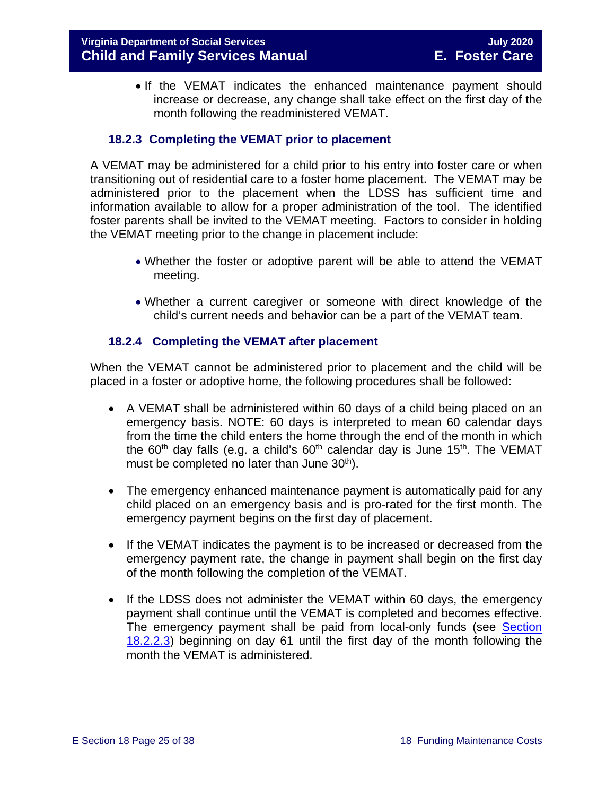• If the VEMAT indicates the enhanced maintenance payment should increase or decrease, any change shall take effect on the first day of the month following the readministered VEMAT.

#### **18.2.3 Completing the VEMAT prior to placement**

<span id="page-24-0"></span>A VEMAT may be administered for a child prior to his entry into foster care or when transitioning out of residential care to a foster home placement. The VEMAT may be administered prior to the placement when the LDSS has sufficient time and information available to allow for a proper administration of the tool. The identified foster parents shall be invited to the VEMAT meeting. Factors to consider in holding the VEMAT meeting prior to the change in placement include:

- Whether the foster or adoptive parent will be able to attend the VEMAT meeting.
- Whether a current caregiver or someone with direct knowledge of the child's current needs and behavior can be a part of the VEMAT team.

#### <span id="page-24-1"></span>**18.2.4 Completing the VEMAT after placement**

When the VEMAT cannot be administered prior to placement and the child will be placed in a foster or adoptive home, the following procedures shall be followed:

- A VEMAT shall be administered within 60 days of a child being placed on an emergency basis. NOTE: 60 days is interpreted to mean 60 calendar days from the time the child enters the home through the end of the month in which the 60<sup>th</sup> day falls (e.g. a child's 60<sup>th</sup> calendar day is June 15<sup>th</sup>. The VEMAT must be completed no later than June  $30<sup>th</sup>$ ).
- The emergency enhanced maintenance payment is automatically paid for any child placed on an emergency basis and is pro-rated for the first month. The emergency payment begins on the first day of placement.
- If the VEMAT indicates the payment is to be increased or decreased from the emergency payment rate, the change in payment shall begin on the first day of the month following the completion of the VEMAT.
- If the LDSS does not administer the VEMAT within 60 days, the emergency payment shall continue until the VEMAT is completed and becomes effective. The emergency payment shall be paid from local-only funds (see Section [18.2.2.3\)](#page-15-0) beginning on day 61 until the first day of the month following the month the VEMAT is administered.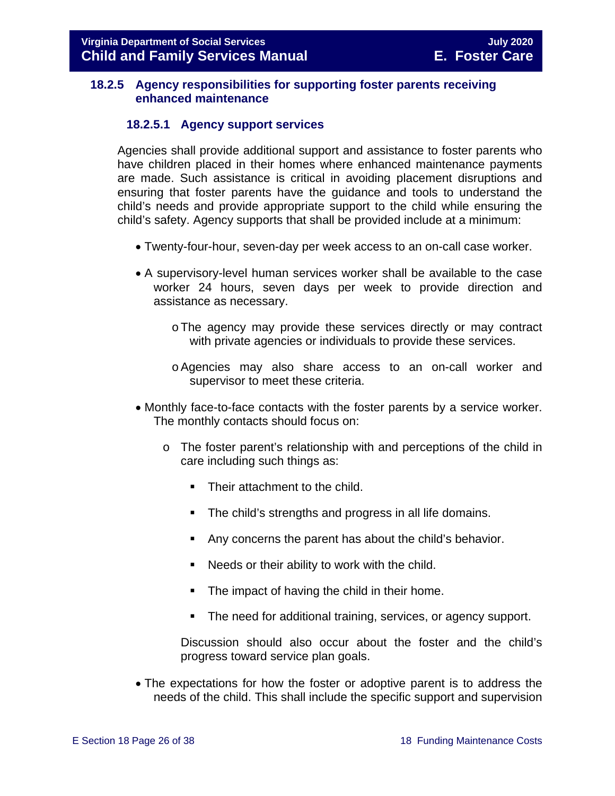#### <span id="page-25-0"></span>**18.2.5 Agency responsibilities for supporting foster parents receiving enhanced maintenance**

#### **18.2.5.1 Agency support services**

Agencies shall provide additional support and assistance to foster parents who have children placed in their homes where enhanced maintenance payments are made. Such assistance is critical in avoiding placement disruptions and ensuring that foster parents have the guidance and tools to understand the child's needs and provide appropriate support to the child while ensuring the child's safety. Agency supports that shall be provided include at a minimum:

- Twenty-four-hour, seven-day per week access to an on-call case worker.
- A supervisory-level human services worker shall be available to the case worker 24 hours, seven days per week to provide direction and assistance as necessary.
	- oThe agency may provide these services directly or may contract with private agencies or individuals to provide these services.
	- oAgencies may also share access to an on-call worker and supervisor to meet these criteria.
- Monthly face-to-face contacts with the foster parents by a service worker. The monthly contacts should focus on:
	- o The foster parent's relationship with and perceptions of the child in care including such things as:
		- Their attachment to the child.
		- **The child's strengths and progress in all life domains.**
		- Any concerns the parent has about the child's behavior.
		- Needs or their ability to work with the child.
		- **The impact of having the child in their home.**
		- **The need for additional training, services, or agency support.**

Discussion should also occur about the foster and the child's progress toward service plan goals.

• The expectations for how the foster or adoptive parent is to address the needs of the child. This shall include the specific support and supervision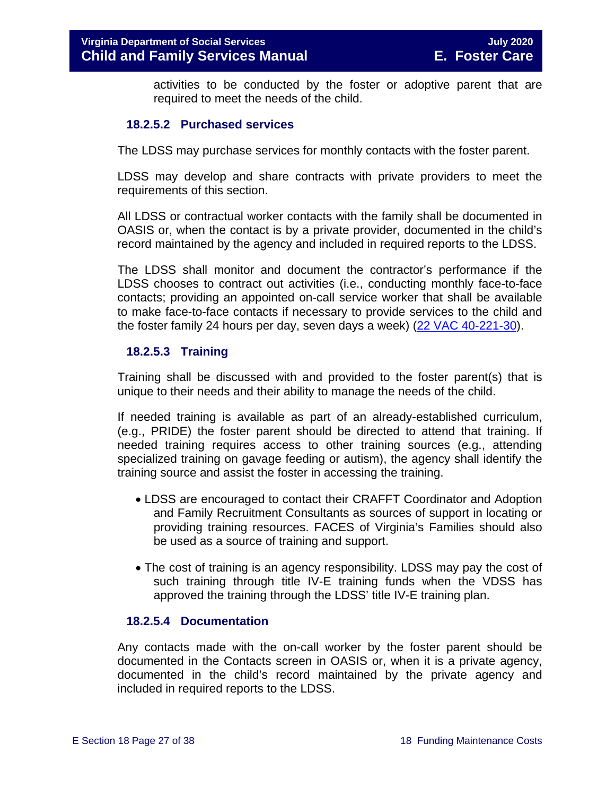activities to be conducted by the foster or adoptive parent that are required to meet the needs of the child.

#### **18.2.5.2 Purchased services**

The LDSS may purchase services for monthly contacts with the foster parent.

LDSS may develop and share contracts with private providers to meet the requirements of this section.

All LDSS or contractual worker contacts with the family shall be documented in OASIS or, when the contact is by a private provider, documented in the child's record maintained by the agency and included in required reports to the LDSS.

The LDSS shall monitor and document the contractor's performance if the LDSS chooses to contract out activities (i.e., conducting monthly face-to-face contacts; providing an appointed on-call service worker that shall be available to make face-to-face contacts if necessary to provide services to the child and the foster family 24 hours per day, seven days a week) [\(22 VAC 40-221-30\)](http://leg1.state.va.us/cgi-bin/legp504.exe?000+reg+22VAC40-221-30).

#### **18.2.5.3 Training**

Training shall be discussed with and provided to the foster parent(s) that is unique to their needs and their ability to manage the needs of the child.

If needed training is available as part of an already-established curriculum, (e.g., PRIDE) the foster parent should be directed to attend that training. If needed training requires access to other training sources (e.g., attending specialized training on gavage feeding or autism), the agency shall identify the training source and assist the foster in accessing the training.

- LDSS are encouraged to contact their CRAFFT Coordinator and Adoption and Family Recruitment Consultants as sources of support in locating or providing training resources. FACES of Virginia's Families should also be used as a source of training and support.
- The cost of training is an agency responsibility. LDSS may pay the cost of such training through title IV-E training funds when the VDSS has approved the training through the LDSS' title IV-E training plan.

#### **18.2.5.4 Documentation**

<span id="page-26-0"></span>Any contacts made with the on-call worker by the foster parent should be documented in the Contacts screen in OASIS or, when it is a private agency, documented in the child's record maintained by the private agency and included in required reports to the LDSS.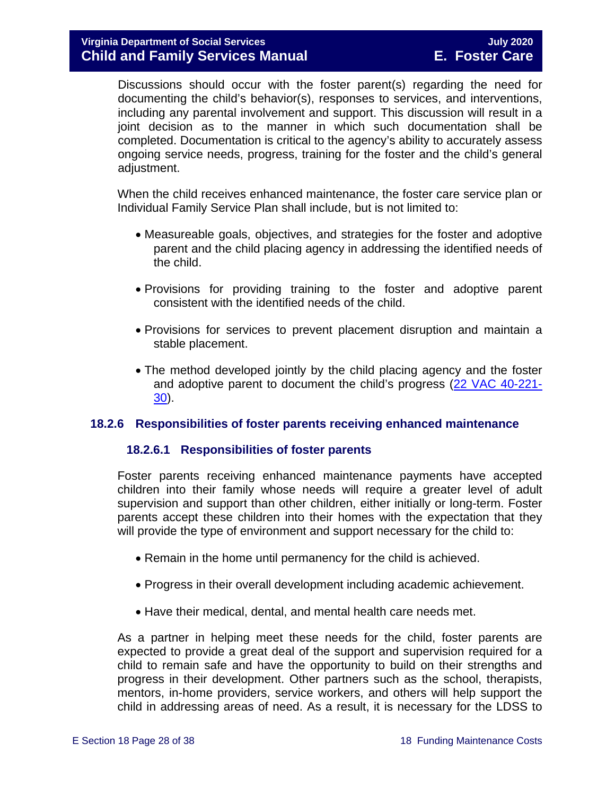Discussions should occur with the foster parent(s) regarding the need for documenting the child's behavior(s), responses to services, and interventions, including any parental involvement and support. This discussion will result in a joint decision as to the manner in which such documentation shall be completed. Documentation is critical to the agency's ability to accurately assess ongoing service needs, progress, training for the foster and the child's general adjustment.

When the child receives enhanced maintenance, the foster care service plan or Individual Family Service Plan shall include, but is not limited to:

- Measureable goals, objectives, and strategies for the foster and adoptive parent and the child placing agency in addressing the identified needs of the child.
- Provisions for providing training to the foster and adoptive parent consistent with the identified needs of the child.
- Provisions for services to prevent placement disruption and maintain a stable placement.
- The method developed jointly by the child placing agency and the foster and adoptive parent to document the child's progress [\(22 VAC 40-221-](http://leg1.state.va.us/cgi-bin/legp504.exe?000+reg+22VAC40-221-30) [30\)](http://leg1.state.va.us/cgi-bin/legp504.exe?000+reg+22VAC40-221-30).

#### <span id="page-27-0"></span>**18.2.6 Responsibilities of foster parents receiving enhanced maintenance**

#### **18.2.6.1 Responsibilities of foster parents**

Foster parents receiving enhanced maintenance payments have accepted children into their family whose needs will require a greater level of adult supervision and support than other children, either initially or long-term. Foster parents accept these children into their homes with the expectation that they will provide the type of environment and support necessary for the child to:

- Remain in the home until permanency for the child is achieved.
- Progress in their overall development including academic achievement.
- Have their medical, dental, and mental health care needs met.

As a partner in helping meet these needs for the child, foster parents are expected to provide a great deal of the support and supervision required for a child to remain safe and have the opportunity to build on their strengths and progress in their development. Other partners such as the school, therapists, mentors, in-home providers, service workers, and others will help support the child in addressing areas of need. As a result, it is necessary for the LDSS to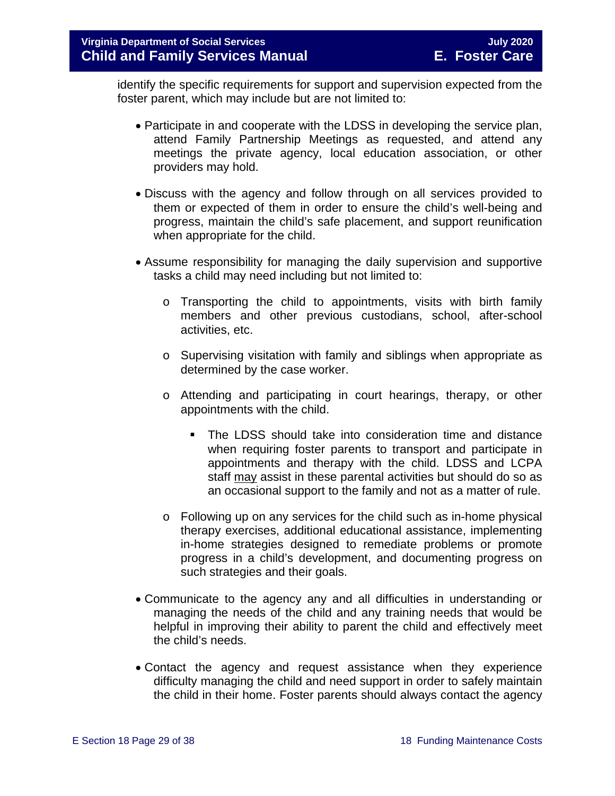identify the specific requirements for support and supervision expected from the foster parent, which may include but are not limited to:

- Participate in and cooperate with the LDSS in developing the service plan, attend Family Partnership Meetings as requested, and attend any meetings the private agency, local education association, or other providers may hold.
- Discuss with the agency and follow through on all services provided to them or expected of them in order to ensure the child's well-being and progress, maintain the child's safe placement, and support reunification when appropriate for the child.
- Assume responsibility for managing the daily supervision and supportive tasks a child may need including but not limited to:
	- o Transporting the child to appointments, visits with birth family members and other previous custodians, school, after-school activities, etc.
	- $\circ$  Supervising visitation with family and siblings when appropriate as determined by the case worker.
	- o Attending and participating in court hearings, therapy, or other appointments with the child.
		- The LDSS should take into consideration time and distance when requiring foster parents to transport and participate in appointments and therapy with the child. LDSS and LCPA staff may assist in these parental activities but should do so as an occasional support to the family and not as a matter of rule.
	- $\circ$  Following up on any services for the child such as in-home physical therapy exercises, additional educational assistance, implementing in-home strategies designed to remediate problems or promote progress in a child's development, and documenting progress on such strategies and their goals.
- Communicate to the agency any and all difficulties in understanding or managing the needs of the child and any training needs that would be helpful in improving their ability to parent the child and effectively meet the child's needs.
- Contact the agency and request assistance when they experience difficulty managing the child and need support in order to safely maintain the child in their home. Foster parents should always contact the agency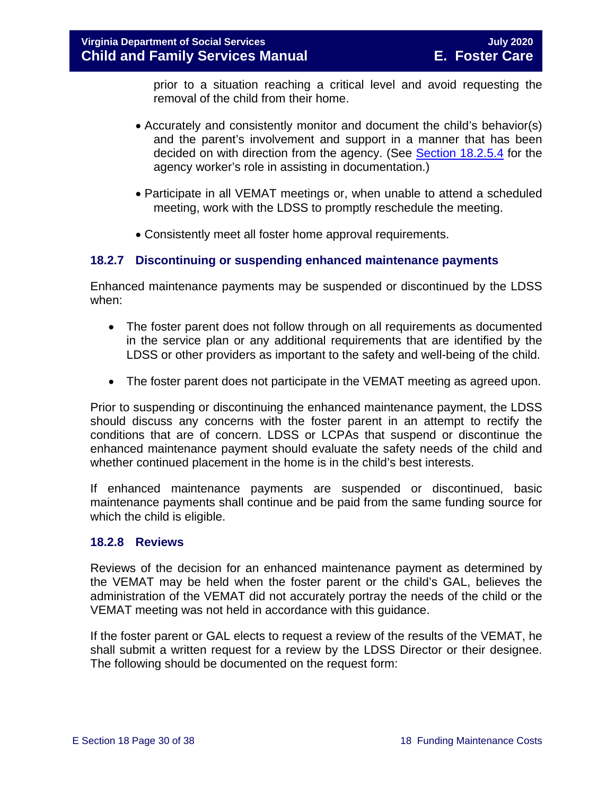prior to a situation reaching a critical level and avoid requesting the removal of the child from their home.

- Accurately and consistently monitor and document the child's behavior(s) and the parent's involvement and support in a manner that has been decided on with direction from the agency. (See [Section 18.2.5.4](#page-26-0) for the agency worker's role in assisting in documentation.)
- Participate in all VEMAT meetings or, when unable to attend a scheduled meeting, work with the LDSS to promptly reschedule the meeting.
- Consistently meet all foster home approval requirements.

#### <span id="page-29-0"></span>**18.2.7 Discontinuing or suspending enhanced maintenance payments**

Enhanced maintenance payments may be suspended or discontinued by the LDSS when:

- The foster parent does not follow through on all requirements as documented in the service plan or any additional requirements that are identified by the LDSS or other providers as important to the safety and well-being of the child.
- The foster parent does not participate in the VEMAT meeting as agreed upon.

Prior to suspending or discontinuing the enhanced maintenance payment, the LDSS should discuss any concerns with the foster parent in an attempt to rectify the conditions that are of concern. LDSS or LCPAs that suspend or discontinue the enhanced maintenance payment should evaluate the safety needs of the child and whether continued placement in the home is in the child's best interests.

If enhanced maintenance payments are suspended or discontinued, basic maintenance payments shall continue and be paid from the same funding source for which the child is eligible.

#### <span id="page-29-1"></span>**18.2.8 Reviews**

Reviews of the decision for an enhanced maintenance payment as determined by the VEMAT may be held when the foster parent or the child's GAL, believes the administration of the VEMAT did not accurately portray the needs of the child or the VEMAT meeting was not held in accordance with this guidance.

If the foster parent or GAL elects to request a review of the results of the VEMAT, he shall submit a written request for a review by the LDSS Director or their designee. The following should be documented on the request form: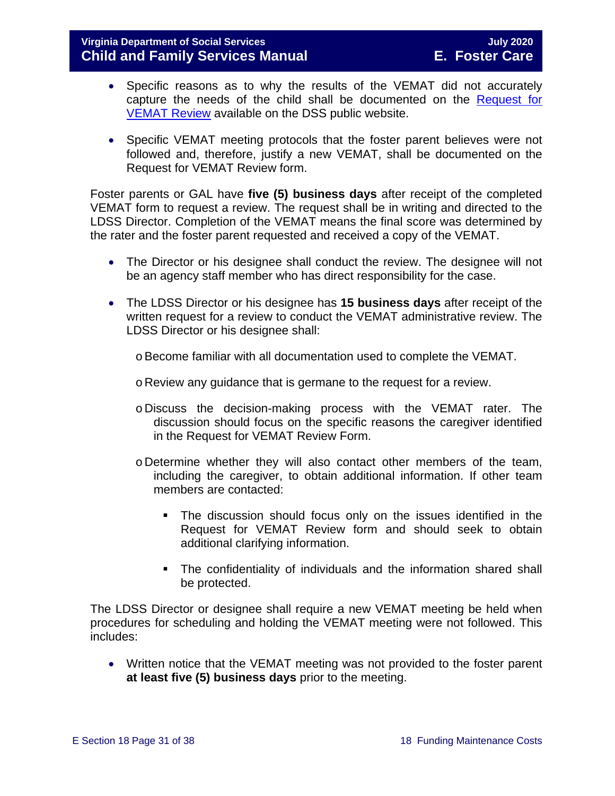#### **Virginia Department of Social Services July 2020 Child and Family Services Manual**

- Specific reasons as to why the results of the VEMAT did not accurately capture the needs of the child shall be documented on the [Request for](https://fusion.dss.virginia.gov/Portals/%5BDIS%5D/Files/032-04-0046-00-eng.doc)  [VEMAT Review](https://fusion.dss.virginia.gov/Portals/%5BDIS%5D/Files/032-04-0046-00-eng.doc) available on the DSS public website.
- Specific VEMAT meeting protocols that the foster parent believes were not followed and, therefore, justify a new VEMAT, shall be documented on the Request for VEMAT Review form.

Foster parents or GAL have **five (5) business days** after receipt of the completed VEMAT form to request a review. The request shall be in writing and directed to the LDSS Director. Completion of the VEMAT means the final score was determined by the rater and the foster parent requested and received a copy of the VEMAT.

- The Director or his designee shall conduct the review. The designee will not be an agency staff member who has direct responsibility for the case.
- The LDSS Director or his designee has **15 business days** after receipt of the written request for a review to conduct the VEMAT administrative review. The LDSS Director or his designee shall:
	- $\circ$  Become familiar with all documentation used to complete the VEMAT.
	- o Review any guidance that is germane to the request for a review.
	- o Discuss the decision-making process with the VEMAT rater. The discussion should focus on the specific reasons the caregiver identified in the Request for VEMAT Review Form.
	- o Determine whether they will also contact other members of the team, including the caregiver, to obtain additional information. If other team members are contacted:
		- The discussion should focus only on the issues identified in the Request for VEMAT Review form and should seek to obtain additional clarifying information.
		- **The confidentiality of individuals and the information shared shall** be protected.

The LDSS Director or designee shall require a new VEMAT meeting be held when procedures for scheduling and holding the VEMAT meeting were not followed. This includes:

• Written notice that the VEMAT meeting was not provided to the foster parent **at least five (5) business days** prior to the meeting.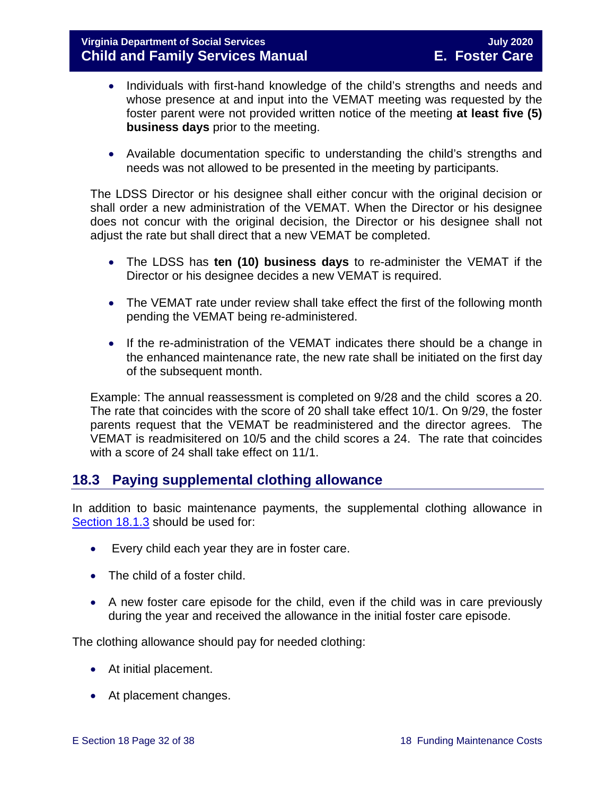- Individuals with first-hand knowledge of the child's strengths and needs and whose presence at and input into the VEMAT meeting was requested by the foster parent were not provided written notice of the meeting **at least five (5) business days** prior to the meeting.
- Available documentation specific to understanding the child's strengths and needs was not allowed to be presented in the meeting by participants.

The LDSS Director or his designee shall either concur with the original decision or shall order a new administration of the VEMAT. When the Director or his designee does not concur with the original decision, the Director or his designee shall not adjust the rate but shall direct that a new VEMAT be completed.

- The LDSS has **ten (10) business days** to re-administer the VEMAT if the Director or his designee decides a new VEMAT is required.
- The VEMAT rate under review shall take effect the first of the following month pending the VEMAT being re-administered.
- If the re-administration of the VEMAT indicates there should be a change in the enhanced maintenance rate, the new rate shall be initiated on the first day of the subsequent month.

Example: The annual reassessment is completed on 9/28 and the child scores a 20. The rate that coincides with the score of 20 shall take effect 10/1. On 9/29, the foster parents request that the VEMAT be readministered and the director agrees. The VEMAT is readmisitered on 10/5 and the child scores a 24. The rate that coincides with a score of 24 shall take effect on 11/1.

#### <span id="page-31-0"></span>**18.3 Paying supplemental clothing allowance**

In addition to basic maintenance payments, the supplemental clothing allowance in [Section](#page-3-2) 18.1.3 should be used for:

- Every child each year they are in foster care.
- The child of a foster child.
- A new foster care episode for the child, even if the child was in care previously during the year and received the allowance in the initial foster care episode.

The clothing allowance should pay for needed clothing:

- At initial placement.
- At placement changes.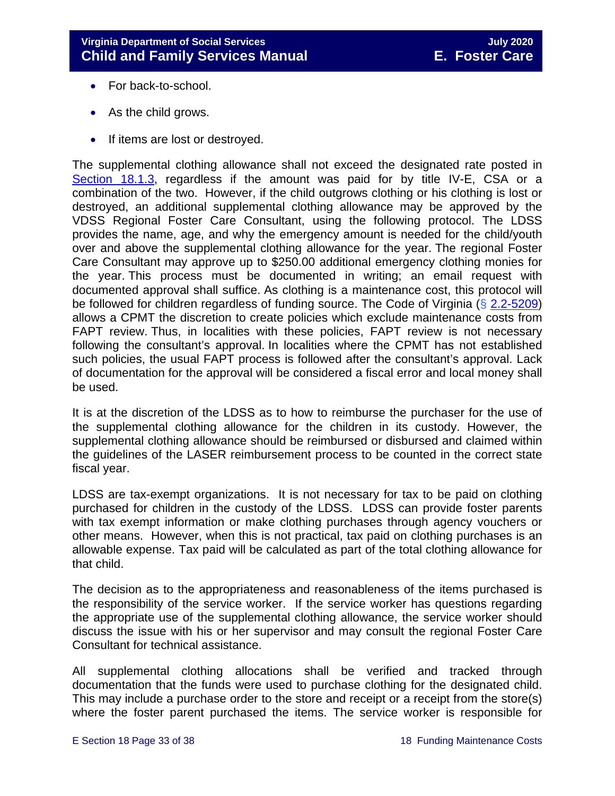- For back-to-school.
- As the child grows.
- If items are lost or destroyed.

The supplemental clothing allowance shall not exceed the designated rate posted in [Section 18.1.3,](#page-3-2) regardless if the amount was paid for by title IV-E, CSA or a combination of the two. However, if the child outgrows clothing or his clothing is lost or destroyed, an additional supplemental clothing allowance may be approved by the VDSS Regional Foster Care Consultant, using the following protocol. The LDSS provides the name, age, and why the emergency amount is needed for the child/youth over and above the supplemental clothing allowance for the year. The regional Foster Care Consultant may approve up to \$250.00 additional emergency clothing monies for the year. This process must be documented in writing; an email request with documented approval shall suffice. As clothing is a maintenance cost, this protocol will be followed for children regardless of funding source. The Code of Virginia (§ [2.2-5209\)](https://law.lis.virginia.go/vacode/2.2-5209/) allows a CPMT the discretion to create policies which exclude maintenance costs from FAPT review. Thus, in localities with these policies, FAPT review is not necessary following the consultant's approval. In localities where the CPMT has not established such policies, the usual FAPT process is followed after the consultant's approval. Lack of documentation for the approval will be considered a fiscal error and local money shall be used.

It is at the discretion of the LDSS as to how to reimburse the purchaser for the use of the supplemental clothing allowance for the children in its custody. However, the supplemental clothing allowance should be reimbursed or disbursed and claimed within the guidelines of the LASER reimbursement process to be counted in the correct state fiscal year.

LDSS are tax-exempt organizations. It is not necessary for tax to be paid on clothing purchased for children in the custody of the LDSS. LDSS can provide foster parents with tax exempt information or make clothing purchases through agency vouchers or other means. However, when this is not practical, tax paid on clothing purchases is an allowable expense. Tax paid will be calculated as part of the total clothing allowance for that child.

The decision as to the appropriateness and reasonableness of the items purchased is the responsibility of the service worker. If the service worker has questions regarding the appropriate use of the supplemental clothing allowance, the service worker should discuss the issue with his or her supervisor and may consult the regional Foster Care Consultant for technical assistance.

All supplemental clothing allocations shall be verified and tracked through documentation that the funds were used to purchase clothing for the designated child. This may include a purchase order to the store and receipt or a receipt from the store(s) where the foster parent purchased the items. The service worker is responsible for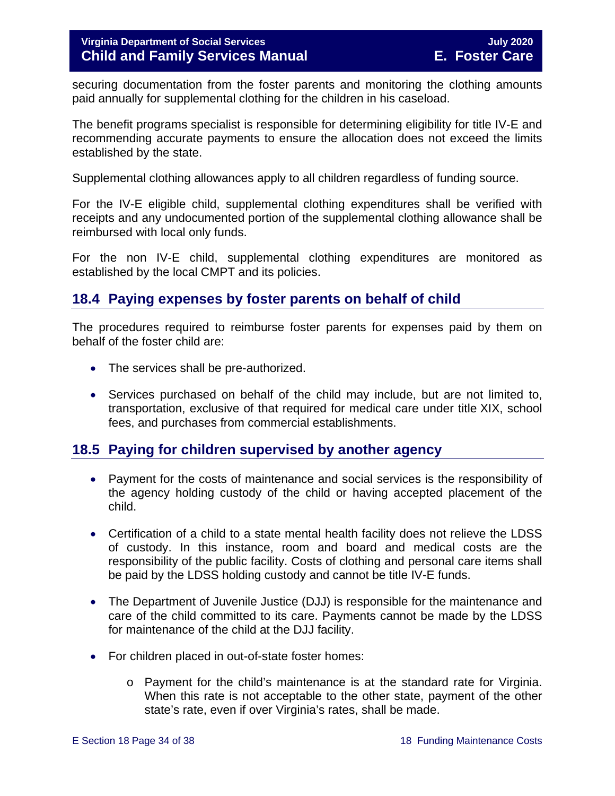securing documentation from the foster parents and monitoring the clothing amounts paid annually for supplemental clothing for the children in his caseload.

The benefit programs specialist is responsible for determining eligibility for title IV-E and recommending accurate payments to ensure the allocation does not exceed the limits established by the state.

Supplemental clothing allowances apply to all children regardless of funding source.

For the IV-E eligible child, supplemental clothing expenditures shall be verified with receipts and any undocumented portion of the supplemental clothing allowance shall be reimbursed with local only funds.

For the non IV-E child, supplemental clothing expenditures are monitored as established by the local CMPT and its policies.

#### <span id="page-33-0"></span>**18.4 Paying expenses by foster parents on behalf of child**

The procedures required to reimburse foster parents for expenses paid by them on behalf of the foster child are:

- The services shall be pre-authorized.
- Services purchased on behalf of the child may include, but are not limited to, transportation, exclusive of that required for medical care under title XIX, school fees, and purchases from commercial establishments.

#### <span id="page-33-1"></span>**18.5 Paying for children supervised by another agency**

- Payment for the costs of maintenance and social services is the responsibility of the agency holding custody of the child or having accepted placement of the child.
- Certification of a child to a state mental health facility does not relieve the LDSS of custody. In this instance, room and board and medical costs are the responsibility of the public facility. Costs of clothing and personal care items shall be paid by the LDSS holding custody and cannot be title IV-E funds.
- The Department of Juvenile Justice (DJJ) is responsible for the maintenance and care of the child committed to its care. Payments cannot be made by the LDSS for maintenance of the child at the DJJ facility.
- For children placed in out-of-state foster homes:
	- o Payment for the child's maintenance is at the standard rate for Virginia. When this rate is not acceptable to the other state, payment of the other state's rate, even if over Virginia's rates, shall be made.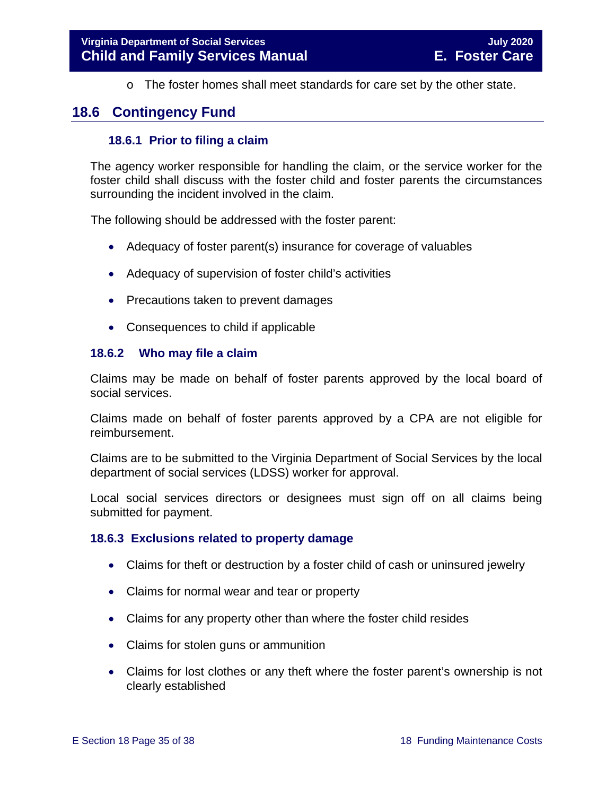<span id="page-34-0"></span> $\circ$  The foster homes shall meet standards for care set by the other state.

#### <span id="page-34-1"></span>**18.6 Contingency Fund**

#### **18.6.1 Prior to filing a claim**

The agency worker responsible for handling the claim, or the service worker for the foster child shall discuss with the foster child and foster parents the circumstances surrounding the incident involved in the claim.

The following should be addressed with the foster parent:

- Adequacy of foster parent(s) insurance for coverage of valuables
- Adequacy of supervision of foster child's activities
- Precautions taken to prevent damages
- <span id="page-34-2"></span>• Consequences to child if applicable

#### **18.6.2 Who may file a claim**

Claims may be made on behalf of foster parents approved by the local board of social services.

Claims made on behalf of foster parents approved by a CPA are not eligible for reimbursement.

Claims are to be submitted to the Virginia Department of Social Services by the local department of social services (LDSS) worker for approval.

Local social services directors or designees must sign off on all claims being submitted for payment.

#### <span id="page-34-3"></span>**18.6.3 Exclusions related to property damage**

- Claims for theft or destruction by a foster child of cash or uninsured jewelry
- Claims for normal wear and tear or property
- Claims for any property other than where the foster child resides
- Claims for stolen guns or ammunition
- Claims for lost clothes or any theft where the foster parent's ownership is not clearly established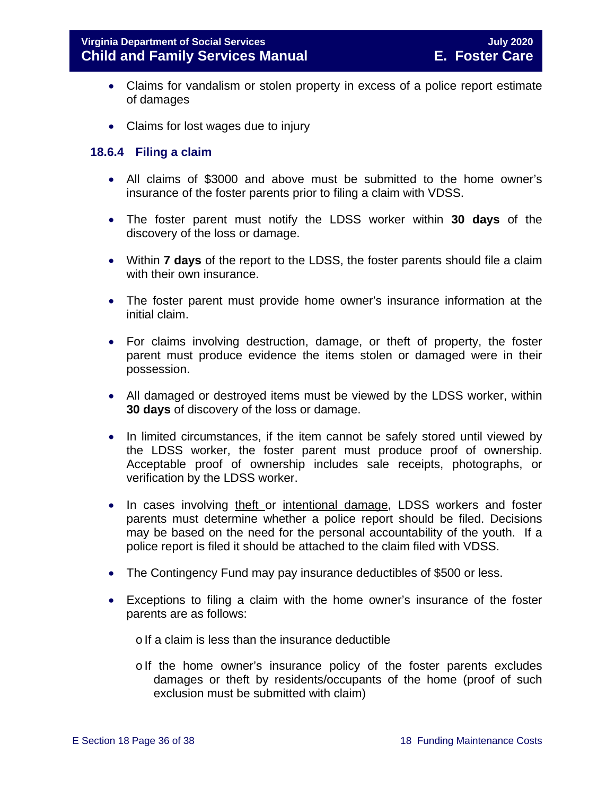- Claims for vandalism or stolen property in excess of a police report estimate of damages
- Claims for lost wages due to injury

#### <span id="page-35-0"></span>**18.6.4 Filing a claim**

- All claims of \$3000 and above must be submitted to the home owner's insurance of the foster parents prior to filing a claim with VDSS.
- The foster parent must notify the LDSS worker within **30 days** of the discovery of the loss or damage.
- Within **7 days** of the report to the LDSS, the foster parents should file a claim with their own insurance.
- The foster parent must provide home owner's insurance information at the initial claim.
- For claims involving destruction, damage, or theft of property, the foster parent must produce evidence the items stolen or damaged were in their possession.
- All damaged or destroyed items must be viewed by the LDSS worker, within **30 days** of discovery of the loss or damage.
- In limited circumstances, if the item cannot be safely stored until viewed by the LDSS worker, the foster parent must produce proof of ownership. Acceptable proof of ownership includes sale receipts, photographs, or verification by the LDSS worker.
- In cases involving theft or intentional damage, LDSS workers and foster parents must determine whether a police report should be filed. Decisions may be based on the need for the personal accountability of the youth. If a police report is filed it should be attached to the claim filed with VDSS.
- The Contingency Fund may pay insurance deductibles of \$500 or less.
- Exceptions to filing a claim with the home owner's insurance of the foster parents are as follows:
	- $\circ$  If a claim is less than the insurance deductible
	- $\circ$  If the home owner's insurance policy of the foster parents excludes damages or theft by residents/occupants of the home (proof of such exclusion must be submitted with claim)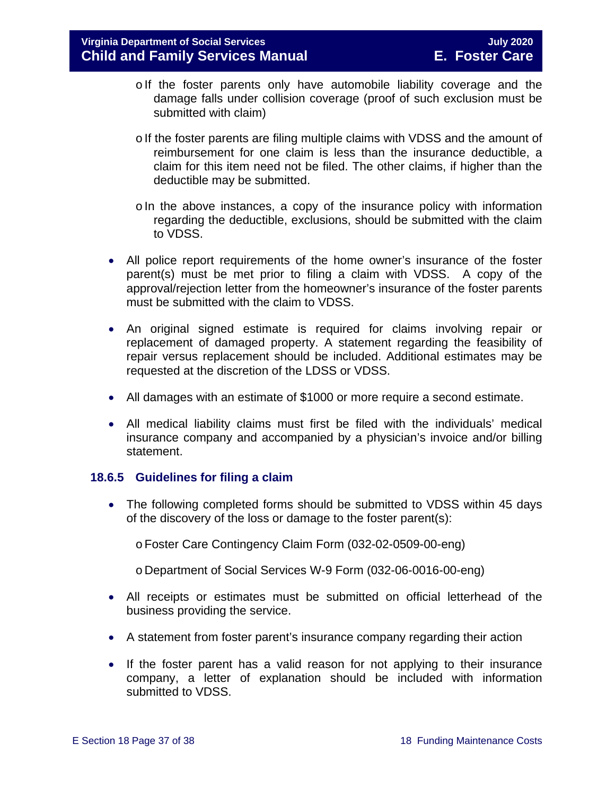- olf the foster parents only have automobile liability coverage and the damage falls under collision coverage (proof of such exclusion must be submitted with claim)
- o If the foster parents are filing multiple claims with VDSS and the amount of reimbursement for one claim is less than the insurance deductible, a claim for this item need not be filed. The other claims, if higher than the deductible may be submitted.
- $\circ$  In the above instances, a copy of the insurance policy with information regarding the deductible, exclusions, should be submitted with the claim to VDSS.
- All police report requirements of the home owner's insurance of the foster parent(s) must be met prior to filing a claim with VDSS. A copy of the approval/rejection letter from the homeowner's insurance of the foster parents must be submitted with the claim to VDSS.
- An original signed estimate is required for claims involving repair or replacement of damaged property. A statement regarding the feasibility of repair versus replacement should be included. Additional estimates may be requested at the discretion of the LDSS or VDSS.
- All damages with an estimate of \$1000 or more require a second estimate.
- All medical liability claims must first be filed with the individuals' medical insurance company and accompanied by a physician's invoice and/or billing statement.

#### <span id="page-36-0"></span>**18.6.5 Guidelines for filing a claim**

• The following completed forms should be submitted to VDSS within 45 days of the discovery of the loss or damage to the foster parent(s):

oFoster Care Contingency Claim Form (032-02-0509-00-eng)

o Department of Social Services W-9 Form (032-06-0016-00-eng)

- All receipts or estimates must be submitted on official letterhead of the business providing the service.
- A statement from foster parent's insurance company regarding their action
- If the foster parent has a valid reason for not applying to their insurance company, a letter of explanation should be included with information submitted to VDSS.